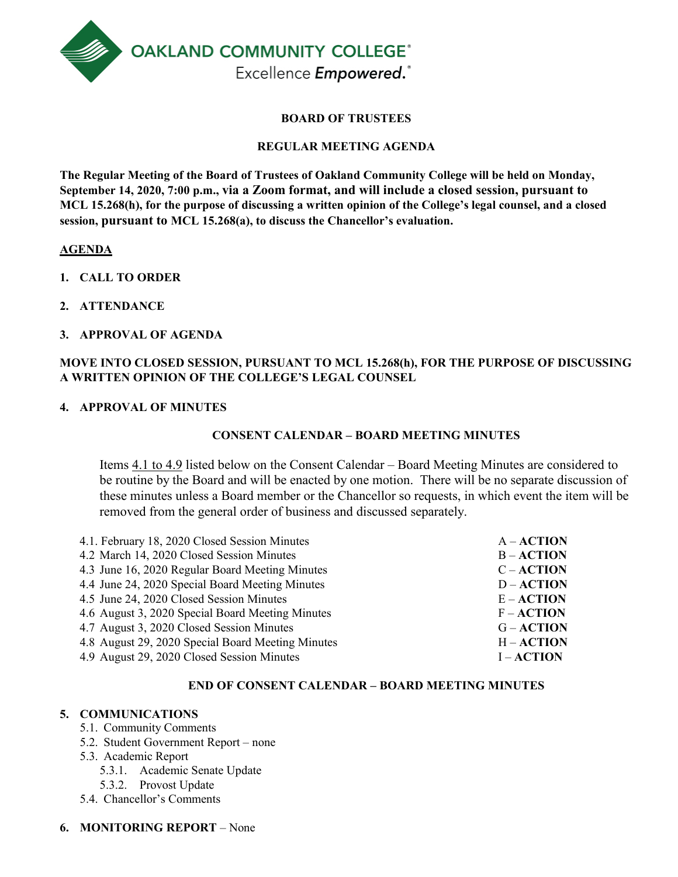

#### **BOARD OF TRUSTEES**

#### **REGULAR MEETING AGENDA**

**The Regular Meeting of the Board of Trustees of Oakland Community College will be held on Monday, September 14, 2020, 7:00 p.m., via a Zoom format, and will include a closed session, pursuant to MCL 15.268(h), for the purpose of discussing a written opinion of the College's legal counsel, and a closed session, pursuant to MCL 15.268(a), to discuss the Chancellor's evaluation.**

#### **AGENDA**

- **1. CALL TO ORDER**
- **2. ATTENDANCE**
- **3. APPROVAL OF AGENDA**

#### **MOVE INTO CLOSED SESSION, PURSUANT TO MCL 15.268(h), FOR THE PURPOSE OF DISCUSSING A WRITTEN OPINION OF THE COLLEGE'S LEGAL COUNSEL**

#### **4. APPROVAL OF MINUTES**

#### **CONSENT CALENDAR – BOARD MEETING MINUTES**

Items 4.1 to 4.9 listed below on the Consent Calendar – Board Meeting Minutes are considered to be routine by the Board and will be enacted by one motion. There will be no separate discussion of these minutes unless a Board member or the Chancellor so requests, in which event the item will be removed from the general order of business and discussed separately.

| 4.1. February 18, 2020 Closed Session Minutes     | $A - ACTION$ |
|---------------------------------------------------|--------------|
| 4.2 March 14, 2020 Closed Session Minutes         | $B - ACTION$ |
| 4.3 June 16, 2020 Regular Board Meeting Minutes   | $C - ACTION$ |
| 4.4 June 24, 2020 Special Board Meeting Minutes   | $D - ACTION$ |
| 4.5 June 24, 2020 Closed Session Minutes          | $E - ACTION$ |
| 4.6 August 3, 2020 Special Board Meeting Minutes  | $F - ACTION$ |
| 4.7 August 3, 2020 Closed Session Minutes         | $G - ACTION$ |
| 4.8 August 29, 2020 Special Board Meeting Minutes | $H - ACTION$ |
| 4.9 August 29, 2020 Closed Session Minutes        | $I - ACTION$ |

#### **END OF CONSENT CALENDAR – BOARD MEETING MINUTES**

#### **5. COMMUNICATIONS**

- 5.1. Community Comments
- 5.2. Student Government Report none
- 5.3. Academic Report
	- 5.3.1. Academic Senate Update
	- 5.3.2. Provost Update
- 5.4. Chancellor's Comments

#### **6. MONITORING REPORT** – None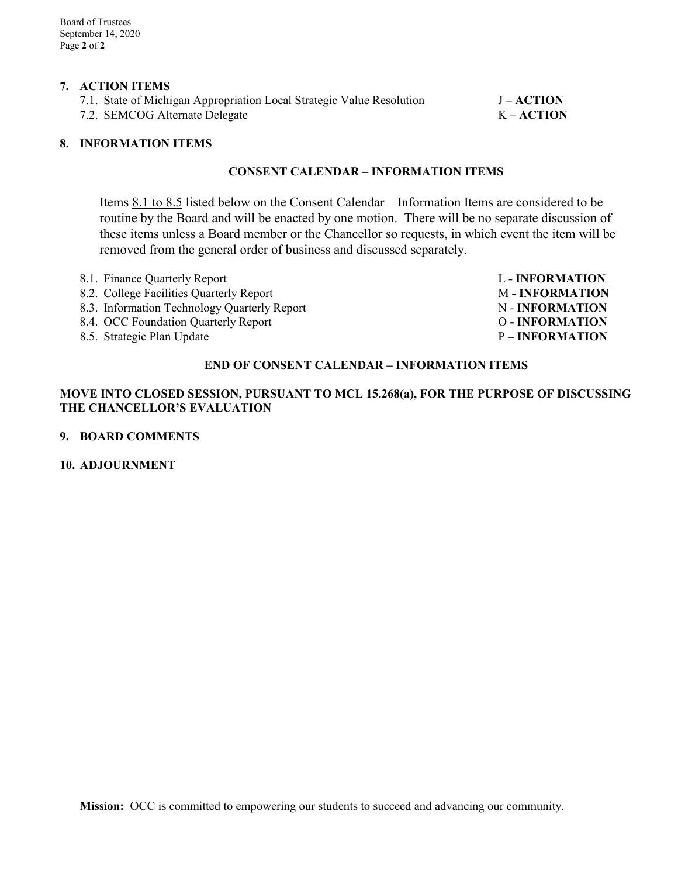#### **7. ACTION ITEMS**

| 7.1. State of Michigan Appropriation Local Strategic Value Resolution | $J - ACTION$ |
|-----------------------------------------------------------------------|--------------|
| 7.2. SEMCOG Alternate Delegate                                        | $K-ACTION$   |

#### **8. INFORMATION ITEMS**

#### **CONSENT CALENDAR – INFORMATION ITEMS**

Items 8.1 to 8.5 listed below on the Consent Calendar – Information Items are considered to be routine by the Board and will be enacted by one motion. There will be no separate discussion of these items unless a Board member or the Chancellor so requests, in which event the item will be removed from the general order of business and discussed separately.

| 8.1. Finance Quarterly Report                | <b>L</b> - <b>INFORMATION</b> |
|----------------------------------------------|-------------------------------|
| 8.2. College Facilities Quarterly Report     | <b>M-INFORMATION</b>          |
| 8.3. Information Technology Quarterly Report | N - INFORMATION               |
| 8.4. OCC Foundation Quarterly Report         | <b>O-INFORMATION</b>          |
| 8.5. Strategic Plan Update                   | <b>P-INFORMATION</b>          |

#### **END OF CONSENT CALENDAR – INFORMATION ITEMS**

#### **MOVE INTO CLOSED SESSION, PURSUANT TO MCL 15.268(a), FOR THE PURPOSE OF DISCUSSING THE CHANCELLOR'S EVALUATION**

#### **9. BOARD COMMENTS**

#### **10. ADJOURNMENT**

**Mission:** OCC is committed to empowering our students to succeed and advancing our community.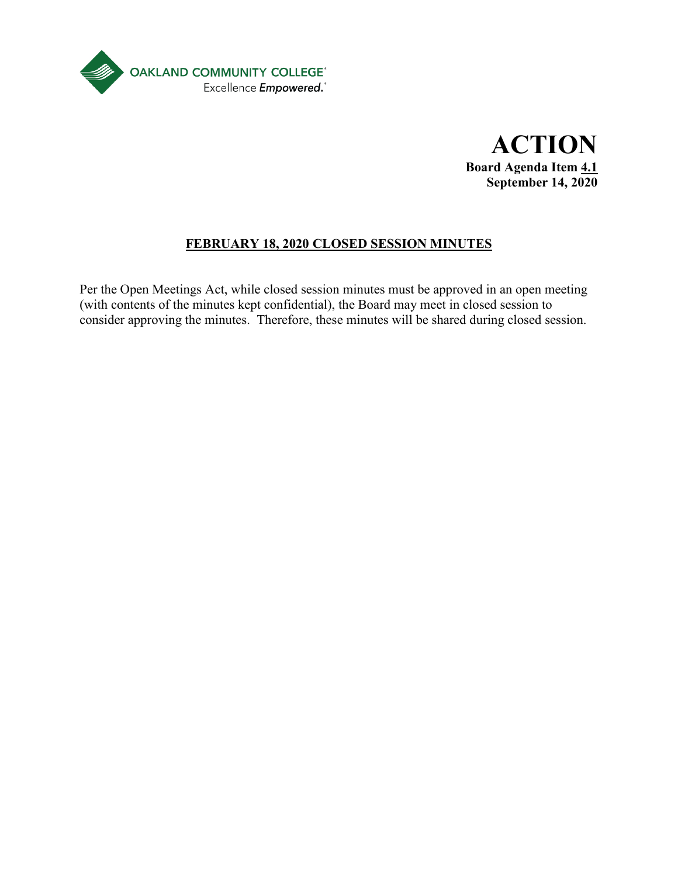



# **FEBRUARY 18, 2020 CLOSED SESSION MINUTES**

Per the Open Meetings Act, while closed session minutes must be approved in an open meeting (with contents of the minutes kept confidential), the Board may meet in closed session to consider approving the minutes. Therefore, these minutes will be shared during closed session.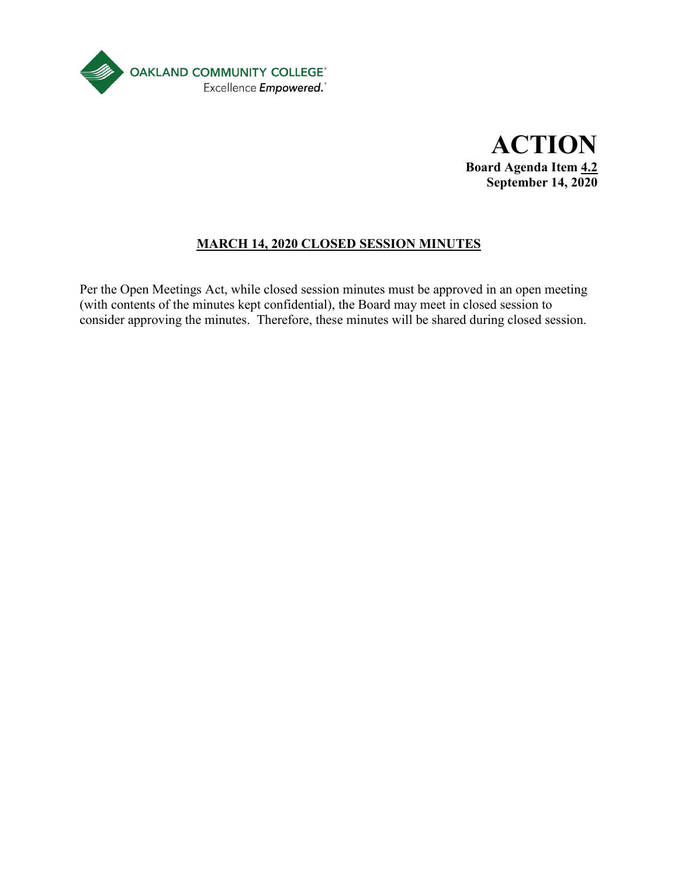

**ACTION Board Agenda Item 4.2 September 14, 2020**

# **MARCH 14, 2020 CLOSED SESSION MINUTES**

Per the Open Meetings Act, while closed session minutes must be approved in an open meeting (with contents of the minutes kept confidential), the Board may meet in closed session to consider approving the minutes. Therefore, these minutes will be shared during closed session.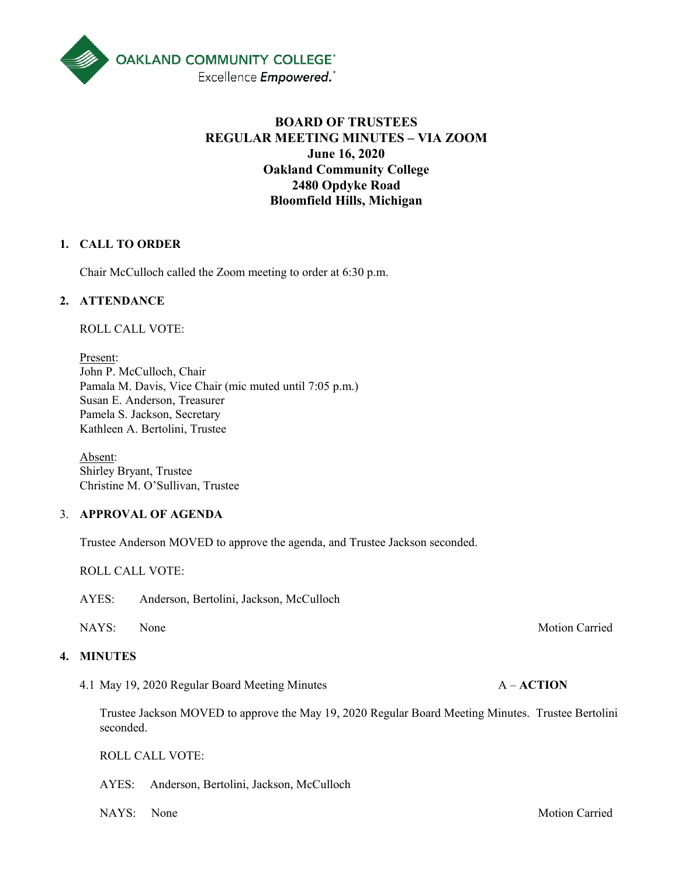

# **BOARD OF TRUSTEES REGULAR MEETING MINUTES – VIA ZOOM June 16, 2020 Oakland Community College 2480 Opdyke Road Bloomfield Hills, Michigan**

#### **1. CALL TO ORDER**

Chair McCulloch called the Zoom meeting to order at 6:30 p.m.

#### **2. ATTENDANCE**

ROLL CALL VOTE:

Present: John P. McCulloch, Chair Pamala M. Davis, Vice Chair (mic muted until 7:05 p.m.) Susan E. Anderson, Treasurer Pamela S. Jackson, Secretary Kathleen A. Bertolini, Trustee

Absent: Shirley Bryant, Trustee Christine M. O'Sullivan, Trustee

#### 3. **APPROVAL OF AGENDA**

Trustee Anderson MOVED to approve the agenda, and Trustee Jackson seconded.

ROLL CALL VOTE:

AYES: Anderson, Bertolini, Jackson, McCulloch

#### **4. MINUTES**

4.1 May 19, 2020 Regular Board Meeting Minutes A – **ACTION**

Trustee Jackson MOVED to approve the May 19, 2020 Regular Board Meeting Minutes. Trustee Bertolini seconded.

ROLL CALL VOTE:

AYES: Anderson, Bertolini, Jackson, McCulloch

NAYS: None Motion Carried

NAYS: None Motion Carried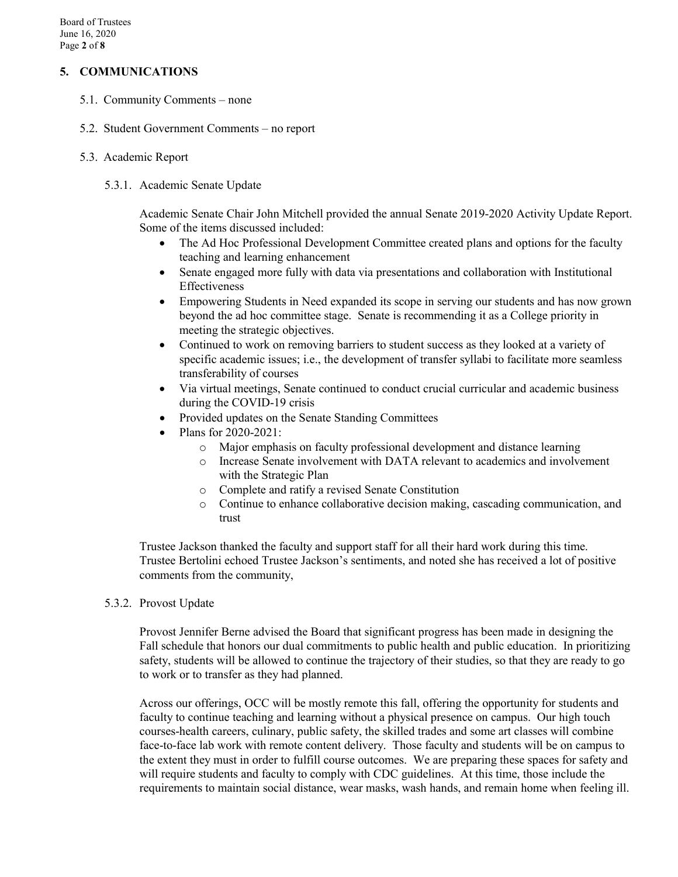#### **5. COMMUNICATIONS**

- 5.1. Community Comments none
- 5.2. Student Government Comments no report
- 5.3. Academic Report
	- 5.3.1. Academic Senate Update

Academic Senate Chair John Mitchell provided the annual Senate 2019-2020 Activity Update Report. Some of the items discussed included:

- The Ad Hoc Professional Development Committee created plans and options for the faculty teaching and learning enhancement
- Senate engaged more fully with data via presentations and collaboration with Institutional Effectiveness
- Empowering Students in Need expanded its scope in serving our students and has now grown beyond the ad hoc committee stage. Senate is recommending it as a College priority in meeting the strategic objectives.
- Continued to work on removing barriers to student success as they looked at a variety of specific academic issues; i.e., the development of transfer syllabi to facilitate more seamless transferability of courses
- Via virtual meetings, Senate continued to conduct crucial curricular and academic business during the COVID-19 crisis
- Provided updates on the Senate Standing Committees
- Plans for 2020-2021:
	- o Major emphasis on faculty professional development and distance learning
	- o Increase Senate involvement with DATA relevant to academics and involvement with the Strategic Plan
	- o Complete and ratify a revised Senate Constitution
	- $\circ$  Continue to enhance collaborative decision making, cascading communication, and trust

Trustee Jackson thanked the faculty and support staff for all their hard work during this time. Trustee Bertolini echoed Trustee Jackson's sentiments, and noted she has received a lot of positive comments from the community,

5.3.2. Provost Update

Provost Jennifer Berne advised the Board that significant progress has been made in designing the Fall schedule that honors our dual commitments to public health and public education. In prioritizing safety, students will be allowed to continue the trajectory of their studies, so that they are ready to go to work or to transfer as they had planned.

Across our offerings, OCC will be mostly remote this fall, offering the opportunity for students and faculty to continue teaching and learning without a physical presence on campus. Our high touch courses-health careers, culinary, public safety, the skilled trades and some art classes will combine face-to-face lab work with remote content delivery. Those faculty and students will be on campus to the extent they must in order to fulfill course outcomes. We are preparing these spaces for safety and will require students and faculty to comply with CDC guidelines. At this time, those include the requirements to maintain social distance, wear masks, wash hands, and remain home when feeling ill.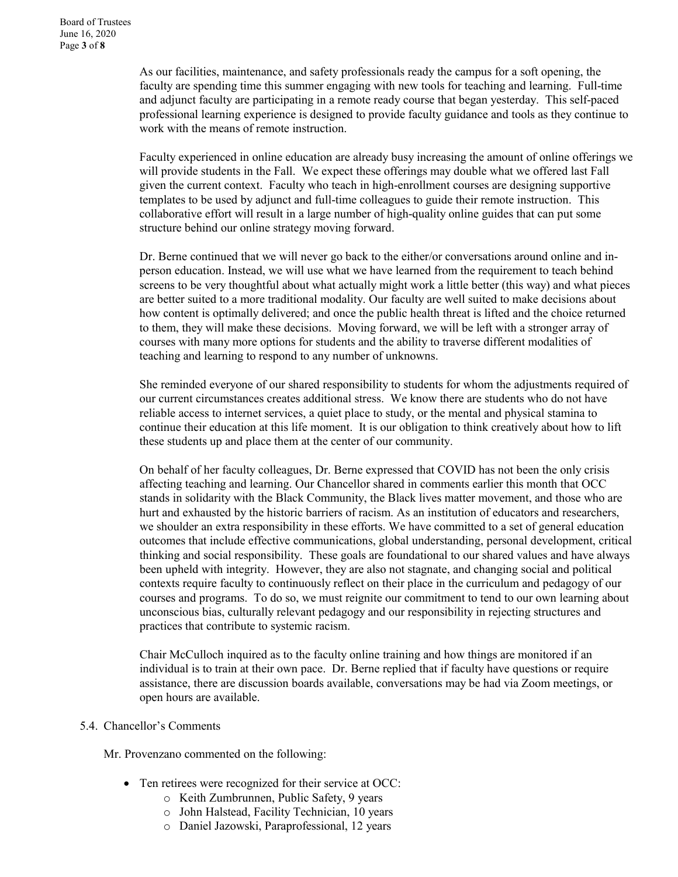As our facilities, maintenance, and safety professionals ready the campus for a soft opening, the faculty are spending time this summer engaging with new tools for teaching and learning. Full-time and adjunct faculty are participating in a remote ready course that began yesterday. This self-paced professional learning experience is designed to provide faculty guidance and tools as they continue to work with the means of remote instruction.

Faculty experienced in online education are already busy increasing the amount of online offerings we will provide students in the Fall. We expect these offerings may double what we offered last Fall given the current context. Faculty who teach in high-enrollment courses are designing supportive templates to be used by adjunct and full-time colleagues to guide their remote instruction. This collaborative effort will result in a large number of high-quality online guides that can put some structure behind our online strategy moving forward.

Dr. Berne continued that we will never go back to the either/or conversations around online and inperson education. Instead, we will use what we have learned from the requirement to teach behind screens to be very thoughtful about what actually might work a little better (this way) and what pieces are better suited to a more traditional modality. Our faculty are well suited to make decisions about how content is optimally delivered; and once the public health threat is lifted and the choice returned to them, they will make these decisions. Moving forward, we will be left with a stronger array of courses with many more options for students and the ability to traverse different modalities of teaching and learning to respond to any number of unknowns.

She reminded everyone of our shared responsibility to students for whom the adjustments required of our current circumstances creates additional stress. We know there are students who do not have reliable access to internet services, a quiet place to study, or the mental and physical stamina to continue their education at this life moment. It is our obligation to think creatively about how to lift these students up and place them at the center of our community.

On behalf of her faculty colleagues, Dr. Berne expressed that COVID has not been the only crisis affecting teaching and learning. Our Chancellor shared in comments earlier this month that OCC stands in solidarity with the Black Community, the Black lives matter movement, and those who are hurt and exhausted by the historic barriers of racism. As an institution of educators and researchers, we shoulder an extra responsibility in these efforts. We have committed to a set of general education outcomes that include effective communications, global understanding, personal development, critical thinking and social responsibility. These goals are foundational to our shared values and have always been upheld with integrity. However, they are also not stagnate, and changing social and political contexts require faculty to continuously reflect on their place in the curriculum and pedagogy of our courses and programs. To do so, we must reignite our commitment to tend to our own learning about unconscious bias, culturally relevant pedagogy and our responsibility in rejecting structures and practices that contribute to systemic racism.

Chair McCulloch inquired as to the faculty online training and how things are monitored if an individual is to train at their own pace. Dr. Berne replied that if faculty have questions or require assistance, there are discussion boards available, conversations may be had via Zoom meetings, or open hours are available.

#### 5.4. Chancellor's Comments

Mr. Provenzano commented on the following:

- Ten retirees were recognized for their service at OCC:
	- o Keith Zumbrunnen, Public Safety, 9 years
	- o John Halstead, Facility Technician, 10 years
	- o Daniel Jazowski, Paraprofessional, 12 years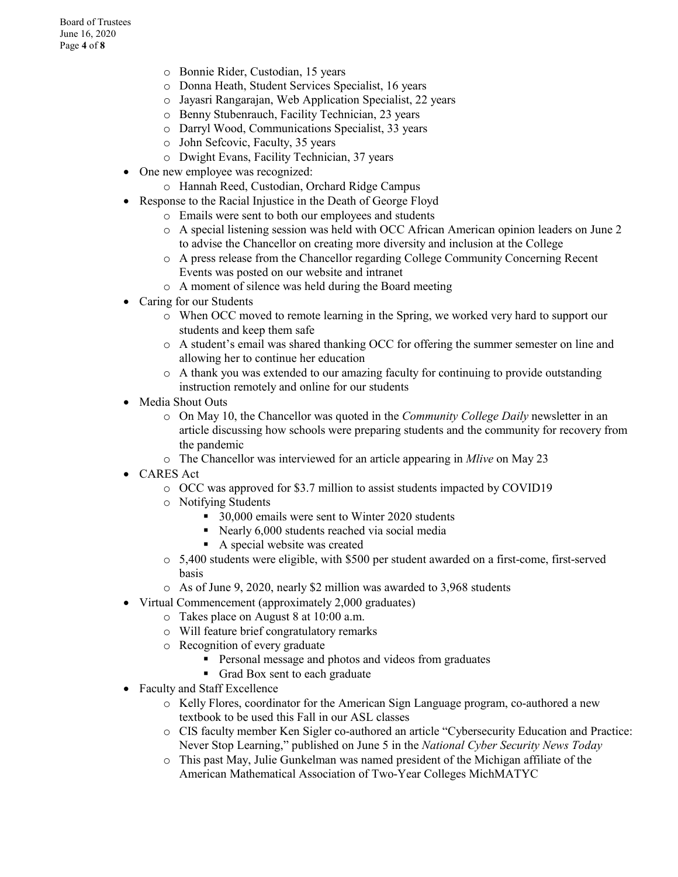- o Bonnie Rider, Custodian, 15 years
- o Donna Heath, Student Services Specialist, 16 years
- o Jayasri Rangarajan, Web Application Specialist, 22 years
- o Benny Stubenrauch, Facility Technician, 23 years
- o Darryl Wood, Communications Specialist, 33 years
- o John Sefcovic, Faculty, 35 years
- o Dwight Evans, Facility Technician, 37 years
- One new employee was recognized:
	- o Hannah Reed, Custodian, Orchard Ridge Campus
- Response to the Racial Injustice in the Death of George Floyd
	- o Emails were sent to both our employees and students
	- o A special listening session was held with OCC African American opinion leaders on June 2 to advise the Chancellor on creating more diversity and inclusion at the College
	- o A press release from the Chancellor regarding College Community Concerning Recent Events was posted on our website and intranet
	- o A moment of silence was held during the Board meeting
- Caring for our Students
	- o When OCC moved to remote learning in the Spring, we worked very hard to support our students and keep them safe
	- o A student's email was shared thanking OCC for offering the summer semester on line and allowing her to continue her education
	- $\circ$  A thank you was extended to our amazing faculty for continuing to provide outstanding instruction remotely and online for our students
- Media Shout Outs
	- o On May 10, the Chancellor was quoted in the *Community College Daily* newsletter in an article discussing how schools were preparing students and the community for recovery from the pandemic
	- o The Chancellor was interviewed for an article appearing in *Mlive* on May 23
- CARES Act
	- o OCC was approved for \$3.7 million to assist students impacted by COVID19
	- o Notifying Students
		- 30,000 emails were sent to Winter 2020 students
		- Nearly 6,000 students reached via social media
		- A special website was created
	- o 5,400 students were eligible, with \$500 per student awarded on a first-come, first-served basis
	- o As of June 9, 2020, nearly \$2 million was awarded to 3,968 students
- Virtual Commencement (approximately 2,000 graduates)
	- o Takes place on August 8 at 10:00 a.m.
	- o Will feature brief congratulatory remarks
	- o Recognition of every graduate
		- **Personal message and photos and videos from graduates**
		- Grad Box sent to each graduate
- Faculty and Staff Excellence
	- o Kelly Flores, coordinator for the American Sign Language program, co-authored a new textbook to be used this Fall in our ASL classes
	- o CIS faculty member Ken Sigler co-authored an article "Cybersecurity Education and Practice: Never Stop Learning," published on June 5 in the *National Cyber Security News Today*
	- o This past May, Julie Gunkelman was named president of the Michigan affiliate of the American Mathematical Association of Two-Year Colleges MichMATYC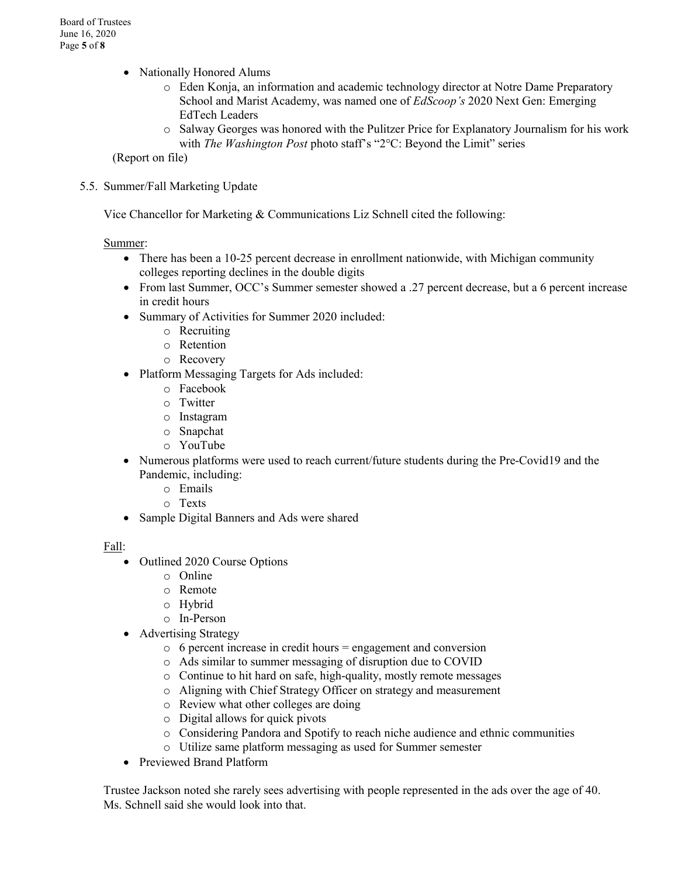- Nationally Honored Alums
	- o Eden Konja, an information and academic technology director at Notre Dame Preparatory School and Marist Academy, was named one of *EdScoop's* 2020 Next Gen: Emerging EdTech Leaders
	- o Salway Georges was honored with the Pulitzer Price for Explanatory Journalism for his work with *The Washington Post* photo staff's "2°C: Beyond the Limit" series

(Report on file)

5.5. Summer/Fall Marketing Update

Vice Chancellor for Marketing & Communications Liz Schnell cited the following:

#### Summer:

- There has been a 10-25 percent decrease in enrollment nationwide, with Michigan community colleges reporting declines in the double digits
- From last Summer, OCC's Summer semester showed a .27 percent decrease, but a 6 percent increase in credit hours
- Summary of Activities for Summer 2020 included:
	- o Recruiting
	- o Retention
	- o Recovery
- Platform Messaging Targets for Ads included:
	- o Facebook
	- o Twitter
	- o Instagram
	- o Snapchat
	- o YouTube
- Numerous platforms were used to reach current/future students during the Pre-Covid19 and the Pandemic, including:
	- o Emails
	- o Texts
- Sample Digital Banners and Ads were shared

Fall:

- Outlined 2020 Course Options
	- o Online
	- o Remote
	- o Hybrid
	- o In-Person
- Advertising Strategy
	- $\circ$  6 percent increase in credit hours = engagement and conversion
	- o Ads similar to summer messaging of disruption due to COVID
	- o Continue to hit hard on safe, high-quality, mostly remote messages
	- o Aligning with Chief Strategy Officer on strategy and measurement
	- o Review what other colleges are doing
	- o Digital allows for quick pivots
	- o Considering Pandora and Spotify to reach niche audience and ethnic communities
	- o Utilize same platform messaging as used for Summer semester
- Previewed Brand Platform

Trustee Jackson noted she rarely sees advertising with people represented in the ads over the age of 40. Ms. Schnell said she would look into that.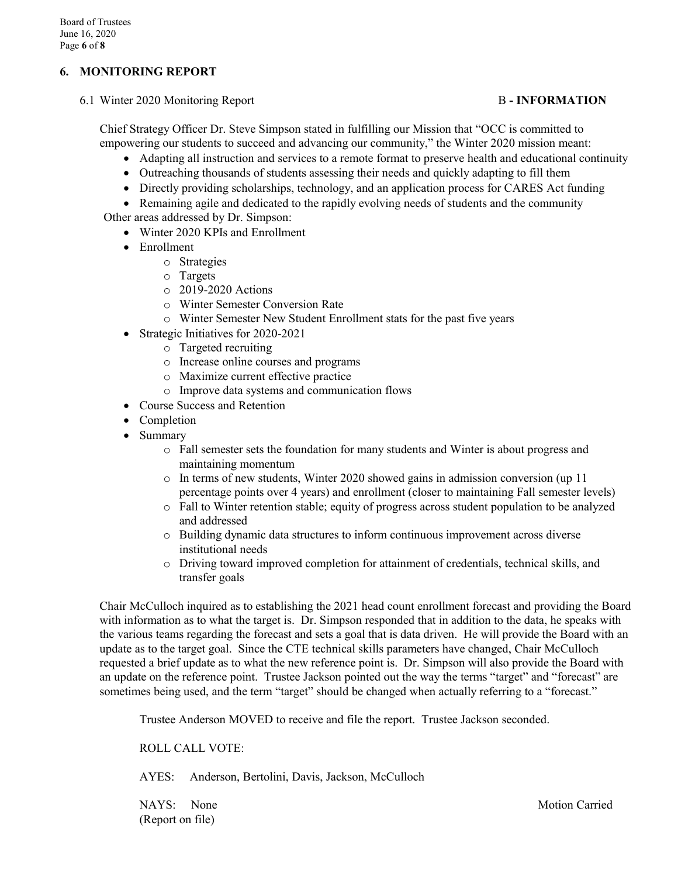#### **6. MONITORING REPORT**

6.1 Winter 2020 Monitoring Report B **- INFORMATION**

Chief Strategy Officer Dr. Steve Simpson stated in fulfilling our Mission that "OCC is committed to empowering our students to succeed and advancing our community," the Winter 2020 mission meant:

- Adapting all instruction and services to a remote format to preserve health and educational continuity
- Outreaching thousands of students assessing their needs and quickly adapting to fill them
- Directly providing scholarships, technology, and an application process for CARES Act funding

• Remaining agile and dedicated to the rapidly evolving needs of students and the community Other areas addressed by Dr. Simpson:

- Winter 2020 KPIs and Enrollment
	- Enrollment
		- o Strategies
		- o Targets
		- o 2019-2020 Actions
		- o Winter Semester Conversion Rate
		- o Winter Semester New Student Enrollment stats for the past five years
	- Strategic Initiatives for 2020-2021
		- o Targeted recruiting
		- o Increase online courses and programs
		- o Maximize current effective practice
		- o Improve data systems and communication flows
	- Course Success and Retention
	- Completion
	- Summary
		- o Fall semester sets the foundation for many students and Winter is about progress and maintaining momentum
		- $\circ$  In terms of new students, Winter 2020 showed gains in admission conversion (up 11) percentage points over 4 years) and enrollment (closer to maintaining Fall semester levels)
		- o Fall to Winter retention stable; equity of progress across student population to be analyzed and addressed
		- o Building dynamic data structures to inform continuous improvement across diverse institutional needs
		- o Driving toward improved completion for attainment of credentials, technical skills, and transfer goals

Chair McCulloch inquired as to establishing the 2021 head count enrollment forecast and providing the Board with information as to what the target is. Dr. Simpson responded that in addition to the data, he speaks with the various teams regarding the forecast and sets a goal that is data driven. He will provide the Board with an update as to the target goal. Since the CTE technical skills parameters have changed, Chair McCulloch requested a brief update as to what the new reference point is. Dr. Simpson will also provide the Board with an update on the reference point. Trustee Jackson pointed out the way the terms "target" and "forecast" are sometimes being used, and the term "target" should be changed when actually referring to a "forecast."

Trustee Anderson MOVED to receive and file the report. Trustee Jackson seconded.

ROLL CALL VOTE:

AYES: Anderson, Bertolini, Davis, Jackson, McCulloch

(Report on file)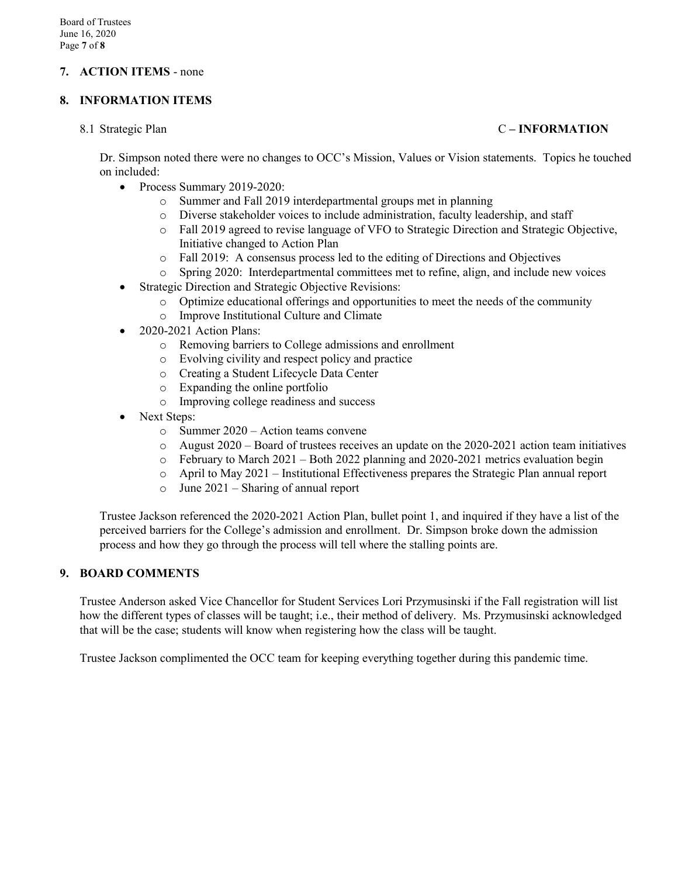#### **7. ACTION ITEMS** - none

#### **8. INFORMATION ITEMS**

#### 8.1 Strategic Plan C **– INFORMATION**

Dr. Simpson noted there were no changes to OCC's Mission, Values or Vision statements. Topics he touched on included:

- Process Summary 2019-2020:
	- o Summer and Fall 2019 interdepartmental groups met in planning
	- o Diverse stakeholder voices to include administration, faculty leadership, and staff
	- o Fall 2019 agreed to revise language of VFO to Strategic Direction and Strategic Objective, Initiative changed to Action Plan
	- o Fall 2019: A consensus process led to the editing of Directions and Objectives
	- Spring 2020: Interdepartmental committees met to refine, align, and include new voices
- Strategic Direction and Strategic Objective Revisions:
	- $\circ$  Optimize educational offerings and opportunities to meet the needs of the community  $\circ$  Improve Institutional Culture and Climate
	- Improve Institutional Culture and Climate
- 2020-2021 Action Plans:
	- o Removing barriers to College admissions and enrollment
	- o Evolving civility and respect policy and practice
	- o Creating a Student Lifecycle Data Center
	- o Expanding the online portfolio
	- o Improving college readiness and success
- Next Steps:
	- o Summer 2020 Action teams convene
	- $\circ$  August 2020 Board of trustees receives an update on the 2020-2021 action team initiatives
	- $\circ$  February to March 2021 Both 2022 planning and 2020-2021 metrics evaluation begin
	- $\circ$  April to May 2021 Institutional Effectiveness prepares the Strategic Plan annual report
	- o June 2021 Sharing of annual report

Trustee Jackson referenced the 2020-2021 Action Plan, bullet point 1, and inquired if they have a list of the perceived barriers for the College's admission and enrollment. Dr. Simpson broke down the admission process and how they go through the process will tell where the stalling points are.

#### **9. BOARD COMMENTS**

Trustee Anderson asked Vice Chancellor for Student Services Lori Przymusinski if the Fall registration will list how the different types of classes will be taught; i.e., their method of delivery. Ms. Przymusinski acknowledged that will be the case; students will know when registering how the class will be taught.

Trustee Jackson complimented the OCC team for keeping everything together during this pandemic time.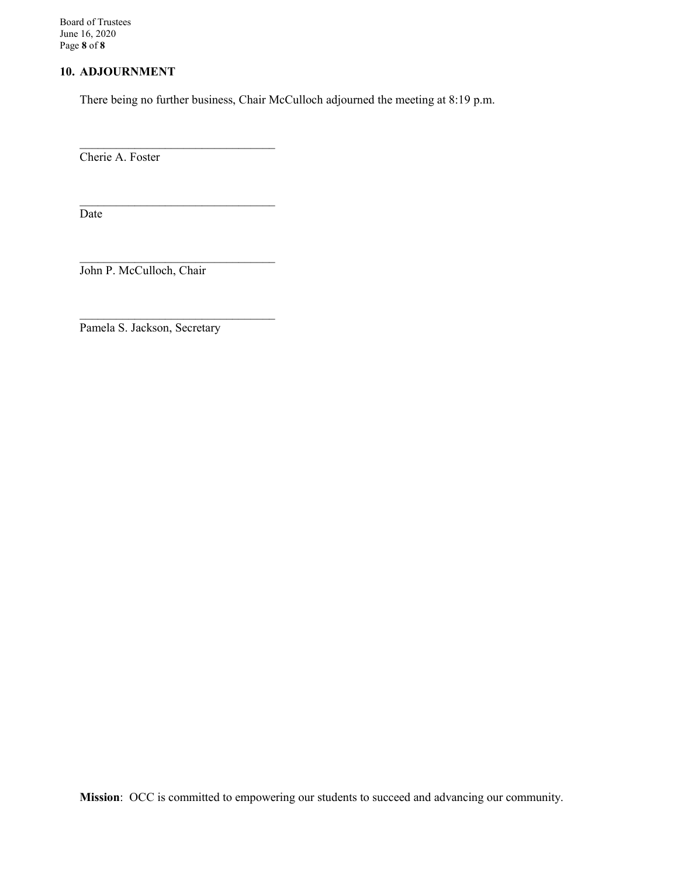Board of Trustees June 16, 2020 Page **8** of **8**

#### **10. ADJOURNMENT**

There being no further business, Chair McCulloch adjourned the meeting at 8:19 p.m.

Cherie A. Foster

Date

John P. McCulloch, Chair

 $\mathcal{L}_\text{max}$  , where  $\mathcal{L}_\text{max}$  and  $\mathcal{L}_\text{max}$  and  $\mathcal{L}_\text{max}$ 

 $\mathcal{L}_\text{max}$  , where  $\mathcal{L}_\text{max}$  and  $\mathcal{L}_\text{max}$  and  $\mathcal{L}_\text{max}$ 

 $\mathcal{L}_\text{max}$  , where  $\mathcal{L}_\text{max}$  and  $\mathcal{L}_\text{max}$  and  $\mathcal{L}_\text{max}$ 

 $\mathcal{L}_\text{max}$  , where  $\mathcal{L}_\text{max}$  is the set of  $\mathcal{L}_\text{max}$ 

Pamela S. Jackson, Secretary

**Mission**: OCC is committed to empowering our students to succeed and advancing our community.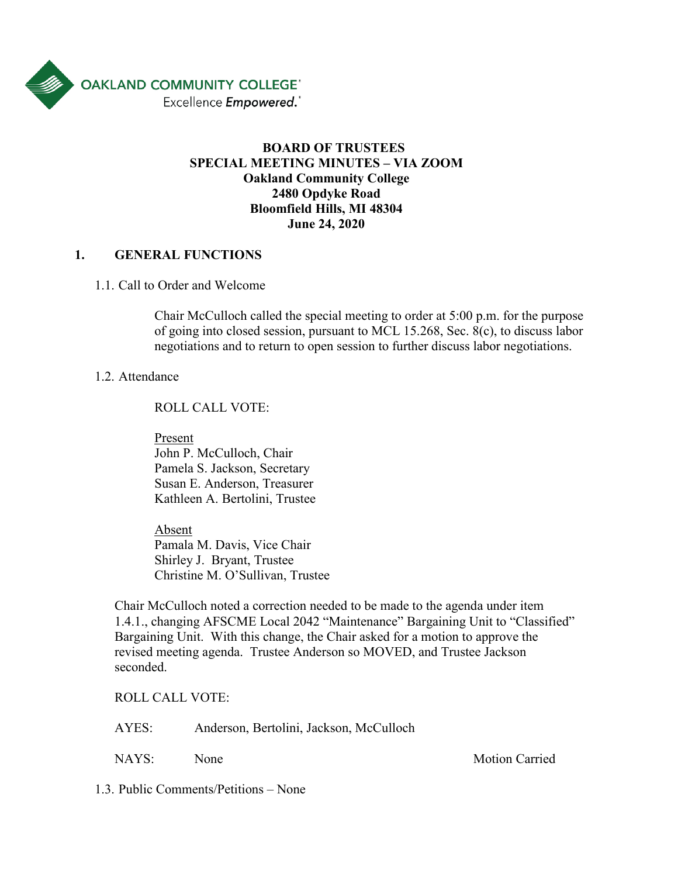

# **BOARD OF TRUSTEES SPECIAL MEETING MINUTES – VIA ZOOM Oakland Community College 2480 Opdyke Road Bloomfield Hills, MI 48304 June 24, 2020**

# **1. GENERAL FUNCTIONS**

1.1. Call to Order and Welcome

Chair McCulloch called the special meeting to order at 5:00 p.m. for the purpose of going into closed session, pursuant to MCL 15.268, Sec. 8(c), to discuss labor negotiations and to return to open session to further discuss labor negotiations.

### 1.2. Attendance

ROLL CALL VOTE:

Present John P. McCulloch, Chair

Pamela S. Jackson, Secretary Susan E. Anderson, Treasurer Kathleen A. Bertolini, Trustee

Absent Pamala M. Davis, Vice Chair Shirley J. Bryant, Trustee Christine M. O'Sullivan, Trustee

Chair McCulloch noted a correction needed to be made to the agenda under item 1.4.1., changing AFSCME Local 2042 "Maintenance" Bargaining Unit to "Classified" Bargaining Unit. With this change, the Chair asked for a motion to approve the revised meeting agenda. Trustee Anderson so MOVED, and Trustee Jackson seconded.

ROLL CALL VOTE:

AYES: Anderson, Bertolini, Jackson, McCulloch

NAYS: None Motion Carried

1.3. Public Comments/Petitions – None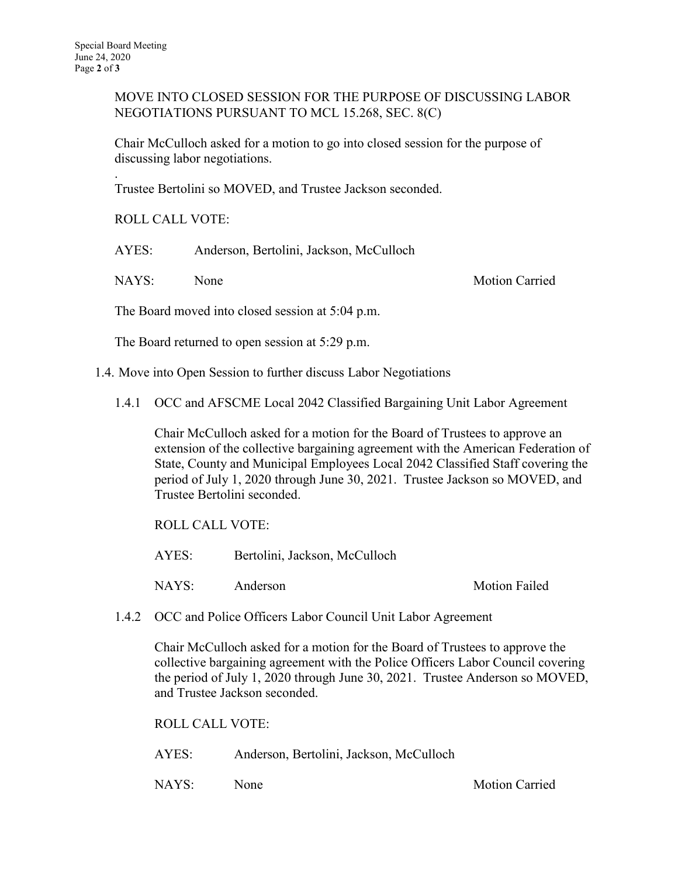.

MOVE INTO CLOSED SESSION FOR THE PURPOSE OF DISCUSSING LABOR NEGOTIATIONS PURSUANT TO MCL 15.268, SEC. 8(C)

Chair McCulloch asked for a motion to go into closed session for the purpose of discussing labor negotiations.

Trustee Bertolini so MOVED, and Trustee Jackson seconded.

ROLL CALL VOTE:

AYES: Anderson, Bertolini, Jackson, McCulloch

NAYS: None Motion Carried

The Board moved into closed session at 5:04 p.m.

The Board returned to open session at 5:29 p.m.

1.4. Move into Open Session to further discuss Labor Negotiations

1.4.1 OCC and AFSCME Local 2042 Classified Bargaining Unit Labor Agreement

Chair McCulloch asked for a motion for the Board of Trustees to approve an extension of the collective bargaining agreement with the American Federation of State, County and Municipal Employees Local 2042 Classified Staff covering the period of July 1, 2020 through June 30, 2021. Trustee Jackson so MOVED, and Trustee Bertolini seconded.

ROLL CALL VOTE:

AYES: Bertolini, Jackson, McCulloch

NAYS: Anderson Motion Failed

1.4.2 OCC and Police Officers Labor Council Unit Labor Agreement

Chair McCulloch asked for a motion for the Board of Trustees to approve the collective bargaining agreement with the Police Officers Labor Council covering the period of July 1, 2020 through June 30, 2021. Trustee Anderson so MOVED, and Trustee Jackson seconded.

ROLL CALL VOTE:

AYES: Anderson, Bertolini, Jackson, McCulloch

NAYS: None Motion Carried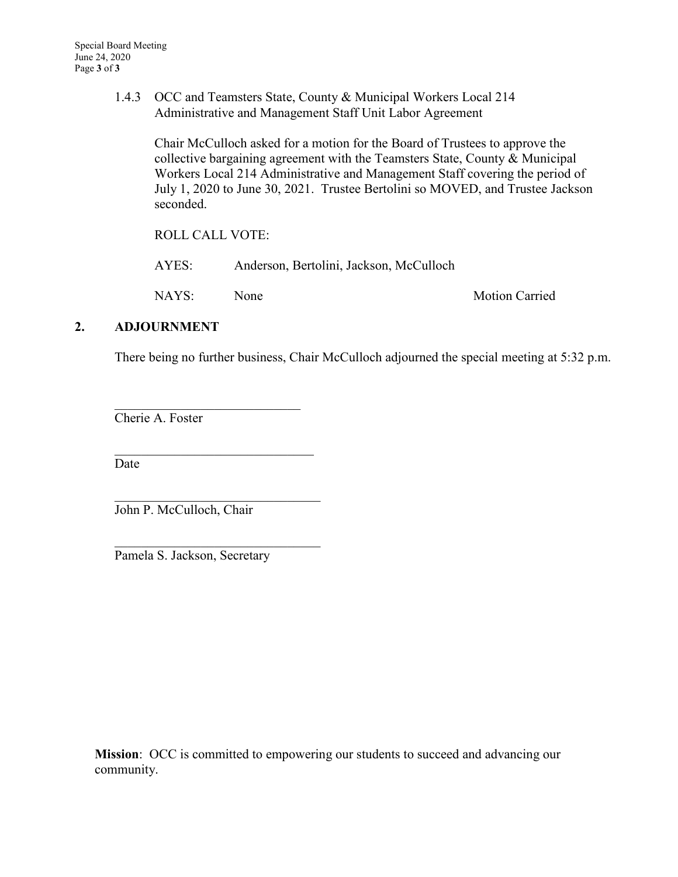1.4.3 OCC and Teamsters State, County & Municipal Workers Local 214 Administrative and Management Staff Unit Labor Agreement

Chair McCulloch asked for a motion for the Board of Trustees to approve the collective bargaining agreement with the Teamsters State, County & Municipal Workers Local 214 Administrative and Management Staff covering the period of July 1, 2020 to June 30, 2021. Trustee Bertolini so MOVED, and Trustee Jackson seconded.

ROLL CALL VOTE:

 $\mathcal{L}_\mathcal{L}$ 

\_\_\_\_\_\_\_\_\_\_\_\_\_\_\_\_\_\_\_\_\_\_\_\_\_\_\_\_\_\_

| AYES: | Anderson, Bertolini, Jackson, McCulloch |                       |
|-------|-----------------------------------------|-----------------------|
| NAYS: | None                                    | <b>Motion Carried</b> |

# **2. ADJOURNMENT**

There being no further business, Chair McCulloch adjourned the special meeting at 5:32 p.m.

Cherie A. Foster

Date

John P. McCulloch, Chair

Pamela S. Jackson, Secretary

**Mission**: OCC is committed to empowering our students to succeed and advancing our community.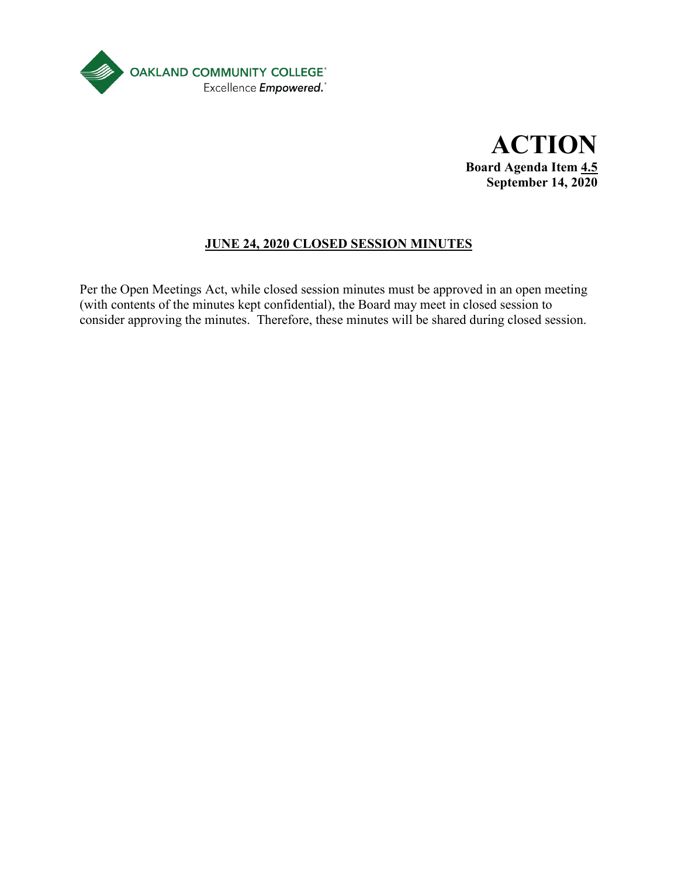

**ACTION Board Agenda Item 4.5 September 14, 2020**

# **JUNE 24, 2020 CLOSED SESSION MINUTES**

Per the Open Meetings Act, while closed session minutes must be approved in an open meeting (with contents of the minutes kept confidential), the Board may meet in closed session to consider approving the minutes. Therefore, these minutes will be shared during closed session.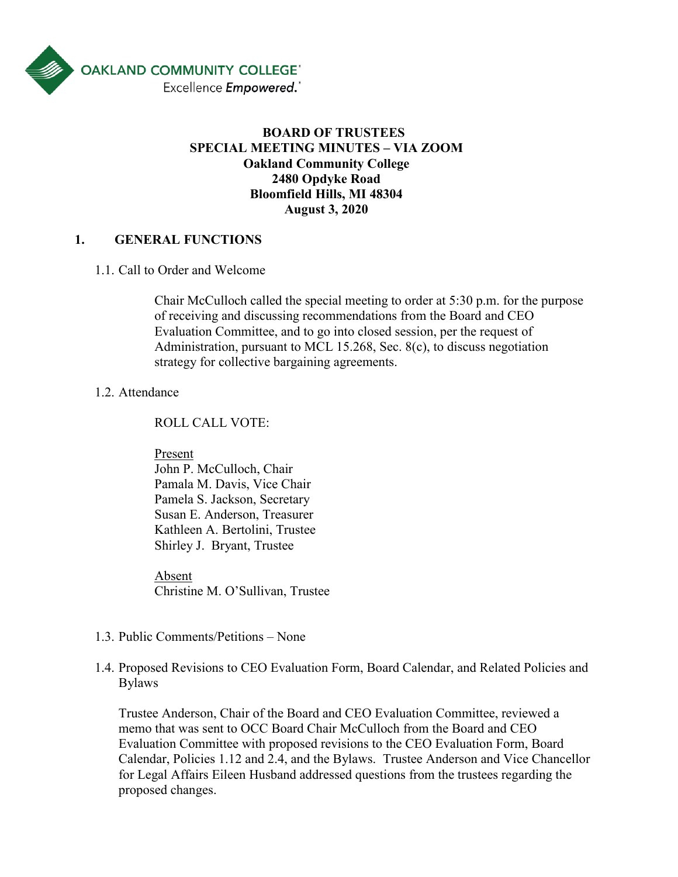

# **BOARD OF TRUSTEES SPECIAL MEETING MINUTES – VIA ZOOM Oakland Community College 2480 Opdyke Road Bloomfield Hills, MI 48304 August 3, 2020**

# **1. GENERAL FUNCTIONS**

#### 1.1. Call to Order and Welcome

Chair McCulloch called the special meeting to order at 5:30 p.m. for the purpose of receiving and discussing recommendations from the Board and CEO Evaluation Committee, and to go into closed session, per the request of Administration, pursuant to MCL 15.268, Sec. 8(c), to discuss negotiation strategy for collective bargaining agreements.

#### 1.2. Attendance

ROLL CALL VOTE:

Present

John P. McCulloch, Chair Pamala M. Davis, Vice Chair Pamela S. Jackson, Secretary Susan E. Anderson, Treasurer Kathleen A. Bertolini, Trustee Shirley J. Bryant, Trustee

Absent Christine M. O'Sullivan, Trustee

- 1.3. Public Comments/Petitions None
- 1.4. Proposed Revisions to CEO Evaluation Form, Board Calendar, and Related Policies and Bylaws

Trustee Anderson, Chair of the Board and CEO Evaluation Committee, reviewed a memo that was sent to OCC Board Chair McCulloch from the Board and CEO Evaluation Committee with proposed revisions to the CEO Evaluation Form, Board Calendar, Policies 1.12 and 2.4, and the Bylaws. Trustee Anderson and Vice Chancellor for Legal Affairs Eileen Husband addressed questions from the trustees regarding the proposed changes.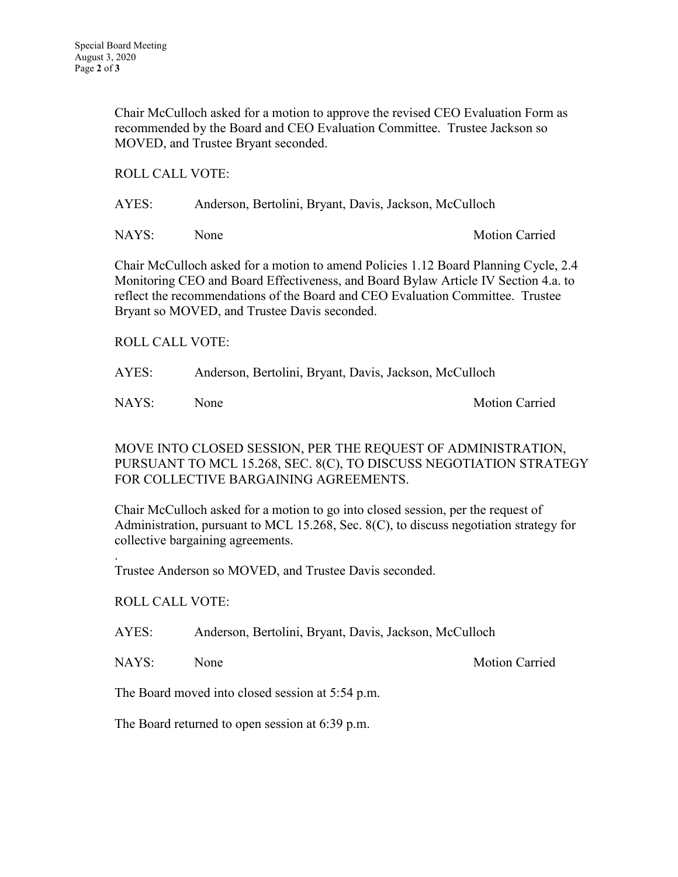Chair McCulloch asked for a motion to approve the revised CEO Evaluation Form as recommended by the Board and CEO Evaluation Committee. Trustee Jackson so MOVED, and Trustee Bryant seconded.

### ROLL CALL VOTE:

AYES: Anderson, Bertolini, Bryant, Davis, Jackson, McCulloch

NAYS: None Motion Carried

Chair McCulloch asked for a motion to amend Policies 1.12 Board Planning Cycle, 2.4 Monitoring CEO and Board Effectiveness, and Board Bylaw Article IV Section 4.a. to reflect the recommendations of the Board and CEO Evaluation Committee. Trustee Bryant so MOVED, and Trustee Davis seconded.

ROLL CALL VOTE:

AYES: Anderson, Bertolini, Bryant, Davis, Jackson, McCulloch

NAYS: None Motion Carried

MOVE INTO CLOSED SESSION, PER THE REQUEST OF ADMINISTRATION, PURSUANT TO MCL 15.268, SEC. 8(C), TO DISCUSS NEGOTIATION STRATEGY FOR COLLECTIVE BARGAINING AGREEMENTS.

Chair McCulloch asked for a motion to go into closed session, per the request of Administration, pursuant to MCL 15.268, Sec. 8(C), to discuss negotiation strategy for collective bargaining agreements.

. Trustee Anderson so MOVED, and Trustee Davis seconded.

ROLL CALL VOTE:

AYES: Anderson, Bertolini, Bryant, Davis, Jackson, McCulloch

NAYS: None Motion Carried

The Board moved into closed session at 5:54 p.m.

The Board returned to open session at 6:39 p.m.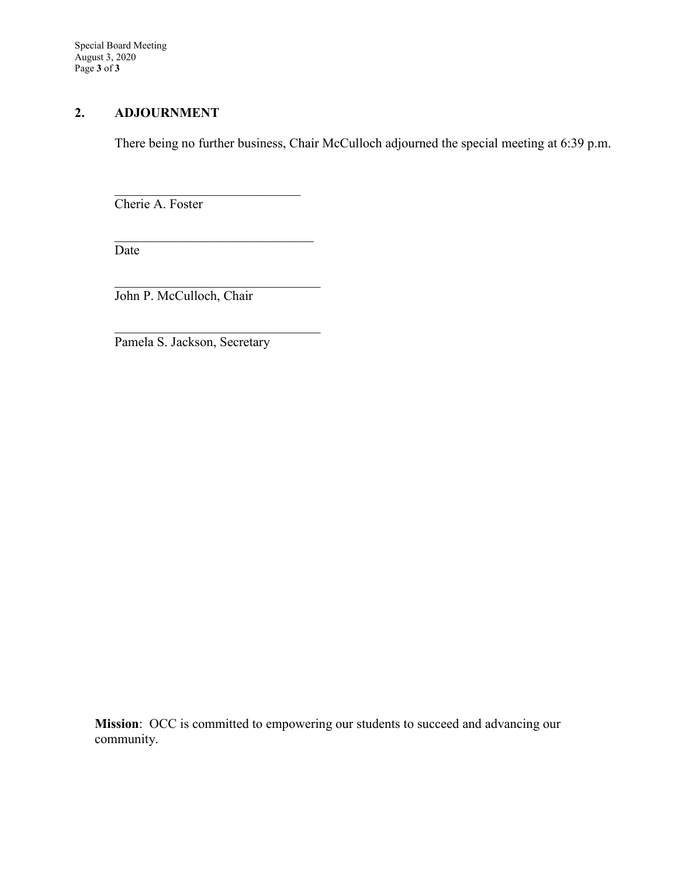Special Board Meeting August 3, 2020 Page **3** of **3**

# **2. ADJOURNMENT**

There being no further business, Chair McCulloch adjourned the special meeting at 6:39 p.m.

Cherie A. Foster

Date

John P. McCulloch, Chair

\_\_\_\_\_\_\_\_\_\_\_\_\_\_\_\_\_\_\_\_\_\_\_\_\_\_\_\_\_\_

 $\mathcal{L}_\mathcal{L}$ 

 $\mathcal{L}_\mathcal{L}$ 

Pamela S. Jackson, Secretary

**Mission**: OCC is committed to empowering our students to succeed and advancing our community.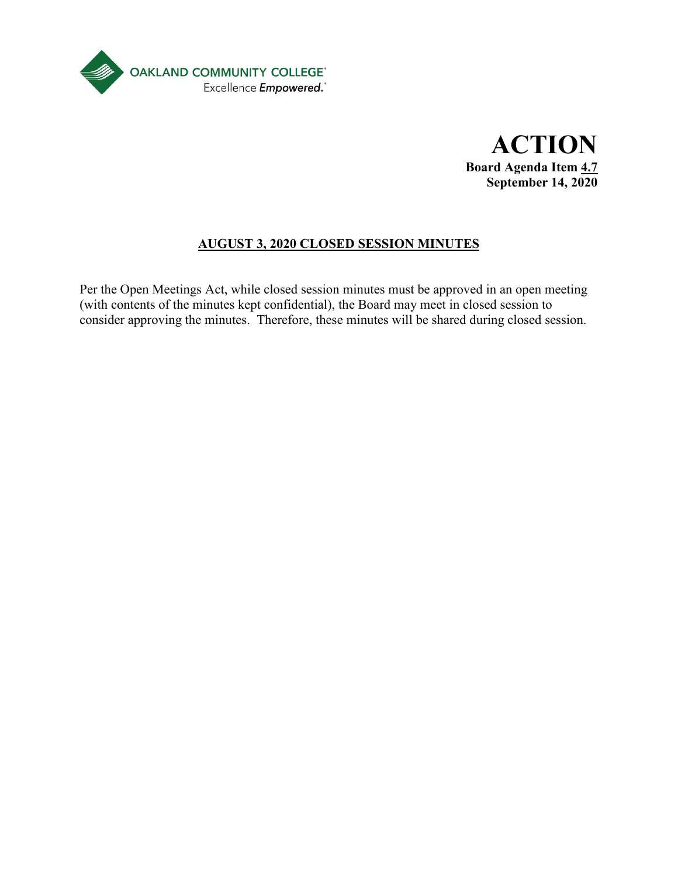

**ACTION Board Agenda Item 4.7 September 14, 2020**

# **AUGUST 3, 2020 CLOSED SESSION MINUTES**

Per the Open Meetings Act, while closed session minutes must be approved in an open meeting (with contents of the minutes kept confidential), the Board may meet in closed session to consider approving the minutes. Therefore, these minutes will be shared during closed session.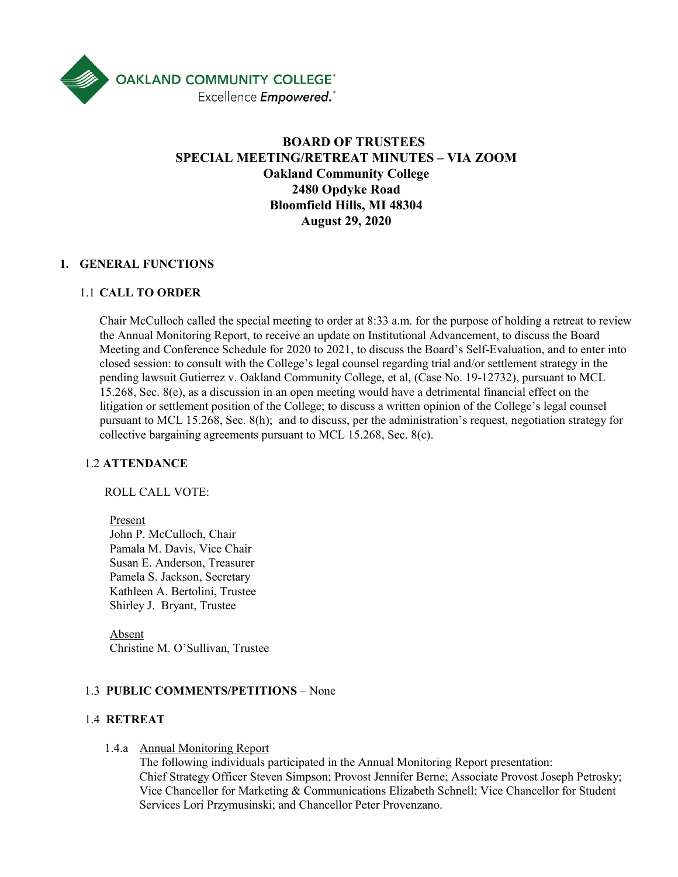

# **BOARD OF TRUSTEES SPECIAL MEETING/RETREAT MINUTES – VIA ZOOM Oakland Community College 2480 Opdyke Road Bloomfield Hills, MI 48304 August 29, 2020**

#### **1. GENERAL FUNCTIONS**

#### 1.1 **CALL TO ORDER**

Chair McCulloch called the special meeting to order at 8:33 a.m. for the purpose of holding a retreat to review the Annual Monitoring Report, to receive an update on Institutional Advancement, to discuss the Board Meeting and Conference Schedule for 2020 to 2021, to discuss the Board's Self-Evaluation, and to enter into closed session: to consult with the College's legal counsel regarding trial and/or settlement strategy in the pending lawsuit Gutierrez v. Oakland Community College, et al, (Case No. 19-12732), pursuant to MCL 15.268, Sec.  $8(e)$ , as a discussion in an open meeting would have a detrimental financial effect on the litigation or settlement position of the College; to discuss a written opinion of the College's legal counsel pursuant to MCL 15.268, Sec. 8(h); and to discuss, per the administration's request, negotiation strategy for collective bargaining agreements pursuant to MCL 15.268, Sec. 8(c).

#### 1.2 **ATTENDANCE**

ROLL CALL VOTE:

Present John P. McCulloch, Chair Pamala M. Davis, Vice Chair Susan E. Anderson, Treasurer Pamela S. Jackson, Secretary Kathleen A. Bertolini, Trustee Shirley J. Bryant, Trustee

Absent Christine M. O'Sullivan, Trustee

#### 1.3 **PUBLIC COMMENTS/PETITIONS** – None

#### 1.4 **RETREAT**

#### 1.4.a Annual Monitoring Report

The following individuals participated in the Annual Monitoring Report presentation: Chief Strategy Officer Steven Simpson; Provost Jennifer Berne; Associate Provost Joseph Petrosky; Vice Chancellor for Marketing & Communications Elizabeth Schnell; Vice Chancellor for Student Services Lori Przymusinski; and Chancellor Peter Provenzano.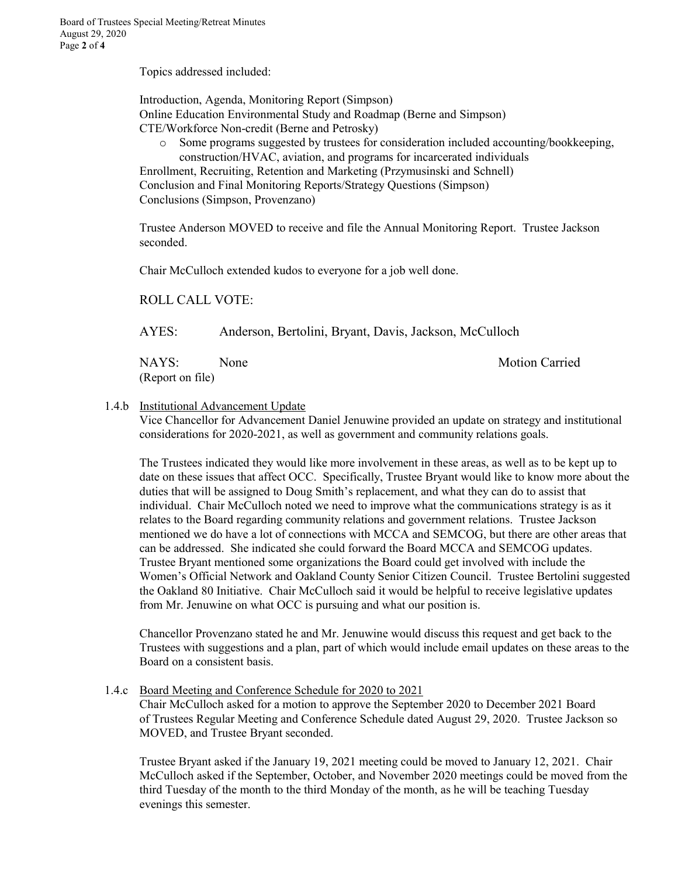Topics addressed included:

Introduction, Agenda, Monitoring Report (Simpson) Online Education Environmental Study and Roadmap (Berne and Simpson) CTE/Workforce Non-credit (Berne and Petrosky)

o Some programs suggested by trustees for consideration included accounting/bookkeeping, construction/HVAC, aviation, and programs for incarcerated individuals

Enrollment, Recruiting, Retention and Marketing (Przymusinski and Schnell) Conclusion and Final Monitoring Reports/Strategy Questions (Simpson) Conclusions (Simpson, Provenzano)

Trustee Anderson MOVED to receive and file the Annual Monitoring Report. Trustee Jackson seconded.

Chair McCulloch extended kudos to everyone for a job well done.

ROLL CALL VOTE:

AYES: Anderson, Bertolini, Bryant, Davis, Jackson, McCulloch

NAYS: None Motion Carried (Report on file)

#### 1.4.b Institutional Advancement Update

Vice Chancellor for Advancement Daniel Jenuwine provided an update on strategy and institutional considerations for 2020-2021, as well as government and community relations goals.

The Trustees indicated they would like more involvement in these areas, as well as to be kept up to date on these issues that affect OCC. Specifically, Trustee Bryant would like to know more about the duties that will be assigned to Doug Smith's replacement, and what they can do to assist that individual. Chair McCulloch noted we need to improve what the communications strategy is as it relates to the Board regarding community relations and government relations. Trustee Jackson mentioned we do have a lot of connections with MCCA and SEMCOG, but there are other areas that can be addressed. She indicated she could forward the Board MCCA and SEMCOG updates. Trustee Bryant mentioned some organizations the Board could get involved with include the Women's Official Network and Oakland County Senior Citizen Council. Trustee Bertolini suggested the Oakland 80 Initiative. Chair McCulloch said it would be helpful to receive legislative updates from Mr. Jenuwine on what OCC is pursuing and what our position is.

Chancellor Provenzano stated he and Mr. Jenuwine would discuss this request and get back to the Trustees with suggestions and a plan, part of which would include email updates on these areas to the Board on a consistent basis.

1.4.c Board Meeting and Conference Schedule for 2020 to 2021

Chair McCulloch asked for a motion to approve the September 2020 to December 2021 Board of Trustees Regular Meeting and Conference Schedule dated August 29, 2020. Trustee Jackson so MOVED, and Trustee Bryant seconded.

Trustee Bryant asked if the January 19, 2021 meeting could be moved to January 12, 2021. Chair McCulloch asked if the September, October, and November 2020 meetings could be moved from the third Tuesday of the month to the third Monday of the month, as he will be teaching Tuesday evenings this semester.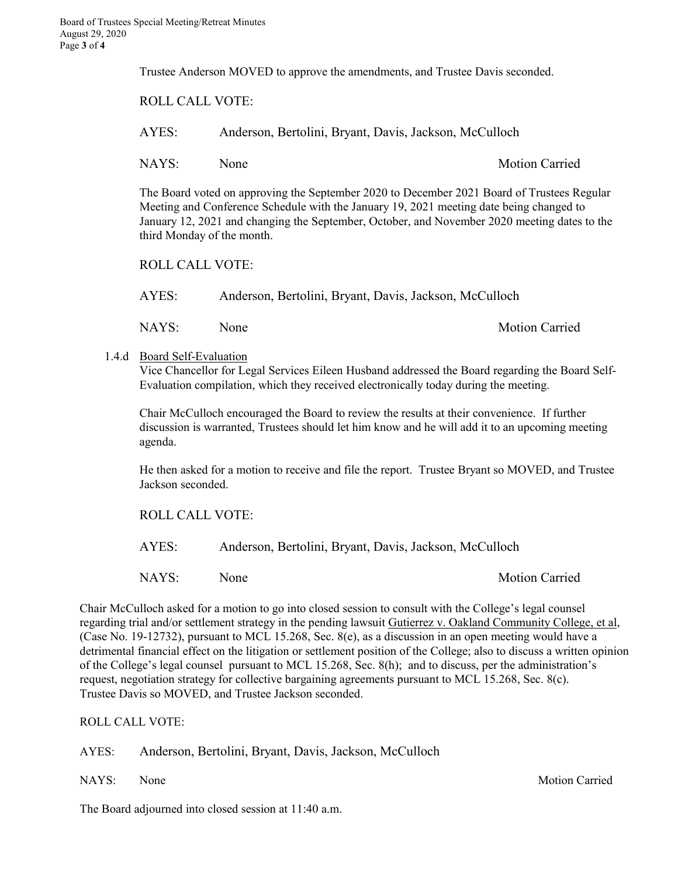Trustee Anderson MOVED to approve the amendments, and Trustee Davis seconded.

ROLL CALL VOTE: AYES: Anderson, Bertolini, Bryant, Davis, Jackson, McCulloch NAYS: None Motion Carried The Board voted on approving the September 2020 to December 2021 Board of Trustees Regular

Meeting and Conference Schedule with the January 19, 2021 meeting date being changed to January 12, 2021 and changing the September, October, and November 2020 meeting dates to the third Monday of the month.

ROLL CALL VOTE:

AYES: Anderson, Bertolini, Bryant, Davis, Jackson, McCulloch

NAYS: None Motion Carried

1.4.d Board Self-Evaluation

Vice Chancellor for Legal Services Eileen Husband addressed the Board regarding the Board Self-Evaluation compilation, which they received electronically today during the meeting.

Chair McCulloch encouraged the Board to review the results at their convenience. If further discussion is warranted, Trustees should let him know and he will add it to an upcoming meeting agenda.

He then asked for a motion to receive and file the report. Trustee Bryant so MOVED, and Trustee Jackson seconded.

ROLL CALL VOTE:

AYES: Anderson, Bertolini, Bryant, Davis, Jackson, McCulloch

NAYS: None Motion Carried

Chair McCulloch asked for a motion to go into closed session to consult with the College's legal counsel regarding trial and/or settlement strategy in the pending lawsuit Gutierrez v. Oakland Community College, et al, (Case No. 19-12732), pursuant to MCL 15.268, Sec. 8(e), as a discussion in an open meeting would have a detrimental financial effect on the litigation or settlement position of the College; also to discuss a written opinion of the College's legal counsel pursuant to MCL 15.268, Sec. 8(h); and to discuss, per the administration's request, negotiation strategy for collective bargaining agreements pursuant to MCL 15.268, Sec. 8(c). Trustee Davis so MOVED, and Trustee Jackson seconded.

ROLL CALL VOTE:

AYES: Anderson, Bertolini, Bryant, Davis, Jackson, McCulloch

NAYS: None Motion Carried

The Board adjourned into closed session at 11:40 a.m.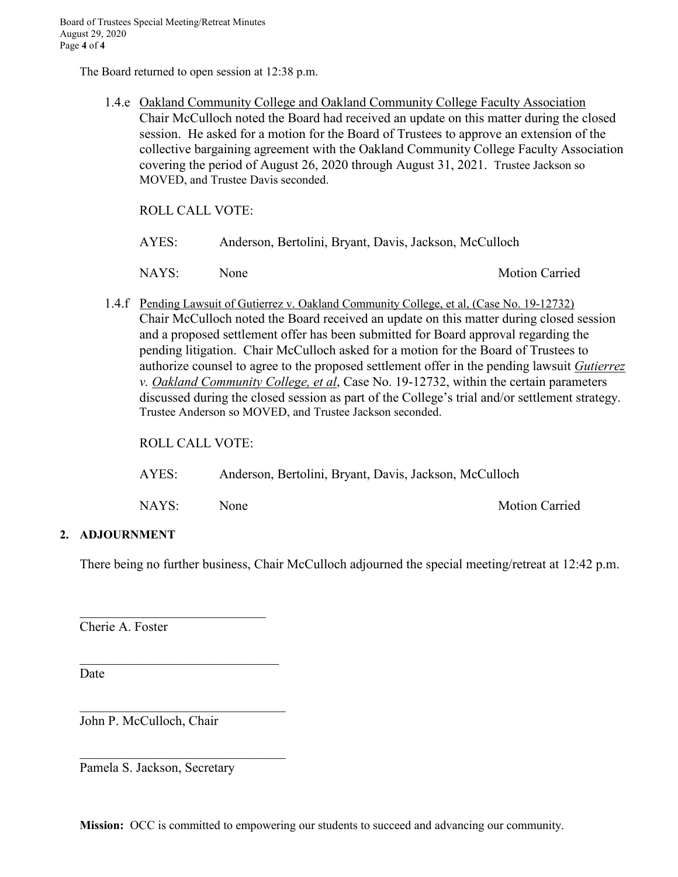The Board returned to open session at 12:38 p.m.

1.4.e Oakland Community College and Oakland Community College Faculty Association Chair McCulloch noted the Board had received an update on this matter during the closed session. He asked for a motion for the Board of Trustees to approve an extension of the collective bargaining agreement with the Oakland Community College Faculty Association covering the period of August 26, 2020 through August 31, 2021. Trustee Jackson so MOVED, and Trustee Davis seconded.

ROLL CALL VOTE:

| AYES: | Anderson, Bertolini, Bryant, Davis, Jackson, McCulloch |
|-------|--------------------------------------------------------|
|-------|--------------------------------------------------------|

NAYS: None Motion Carried

1.4.f Pending Lawsuit of Gutierrez v. Oakland Community College, et al, (Case No. 19-12732) Chair McCulloch noted the Board received an update on this matter during closed session and a proposed settlement offer has been submitted for Board approval regarding the pending litigation. Chair McCulloch asked for a motion for the Board of Trustees to authorize counsel to agree to the proposed settlement offer in the pending lawsuit *Gutierrez v. Oakland Community College, et al*, Case No. 19-12732, within the certain parameters discussed during the closed session as part of the College's trial and/or settlement strategy. Trustee Anderson so MOVED, and Trustee Jackson seconded.

ROLL CALL VOTE:

| AYES: | Anderson, Bertolini, Bryant, Davis, Jackson, McCulloch |
|-------|--------------------------------------------------------|
|-------|--------------------------------------------------------|

NAYS: None Motion Carried

#### **2. ADJOURNMENT**

There being no further business, Chair McCulloch adjourned the special meeting/retreat at 12:42 p.m.

Cherie A. Foster

**Date** 

John P. McCulloch, Chair

 $\mathcal{L}_\mathcal{L}$ 

 $\mathcal{L}_\mathcal{L}$ 

 $\mathcal{L}_\mathcal{L}$ 

Pamela S. Jackson, Secretary

**Mission:** OCC is committed to empowering our students to succeed and advancing our community.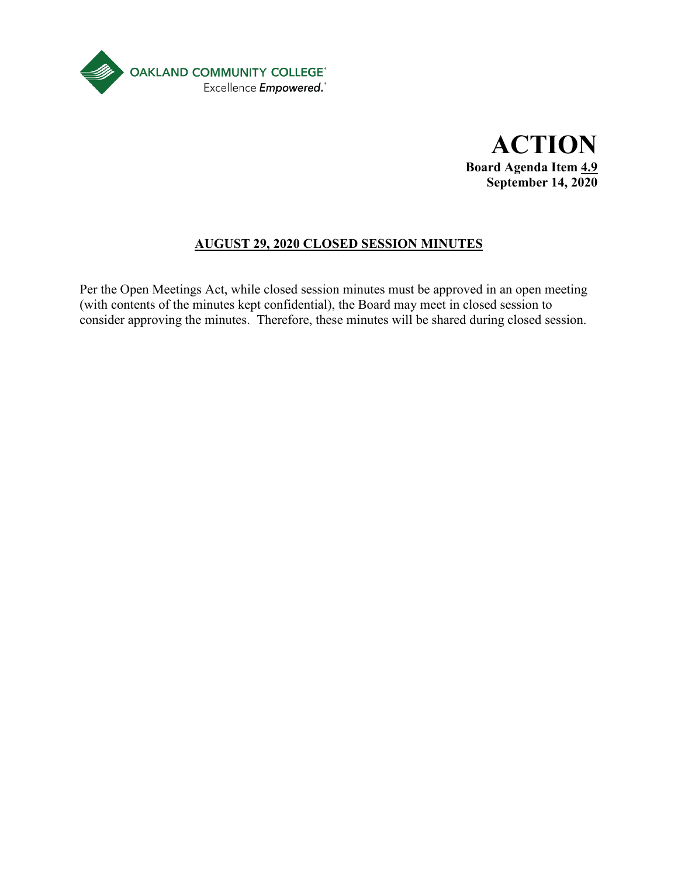

**ACTION Board Agenda Item 4.9 September 14, 2020**

# **AUGUST 29, 2020 CLOSED SESSION MINUTES**

Per the Open Meetings Act, while closed session minutes must be approved in an open meeting (with contents of the minutes kept confidential), the Board may meet in closed session to consider approving the minutes. Therefore, these minutes will be shared during closed session.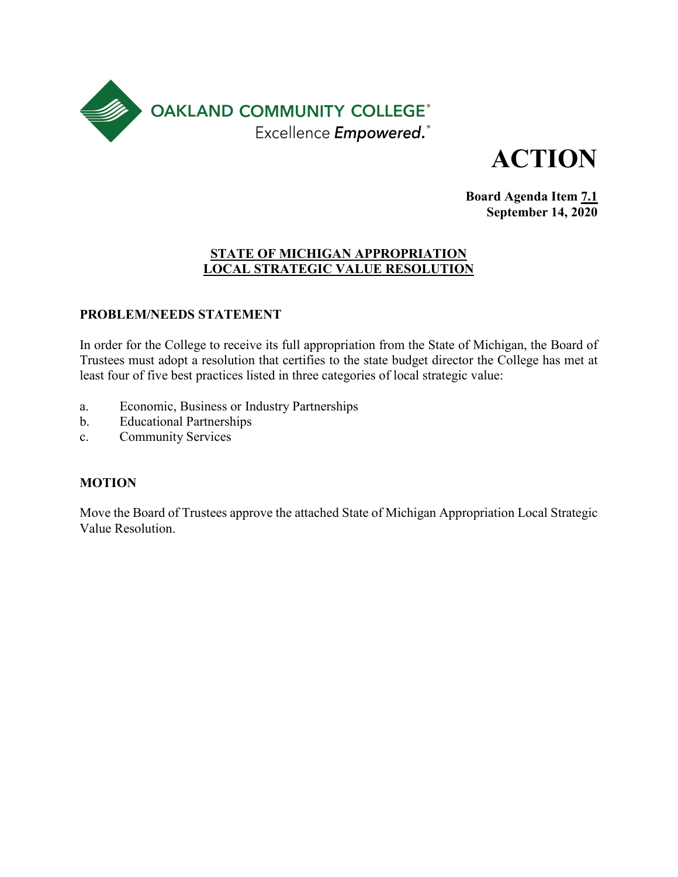

**ACTION**

**Board Agenda Item 7.1 September 14, 2020**

#### **STATE OF MICHIGAN APPROPRIATION LOCAL STRATEGIC VALUE RESOLUTION**

# **PROBLEM/NEEDS STATEMENT**

In order for the College to receive its full appropriation from the State of Michigan, the Board of Trustees must adopt a resolution that certifies to the state budget director the College has met at least four of five best practices listed in three categories of local strategic value:

- a. Economic, Business or Industry Partnerships
- b. Educational Partnerships
- c. Community Services

# **MOTION**

Move the Board of Trustees approve the attached State of Michigan Appropriation Local Strategic Value Resolution.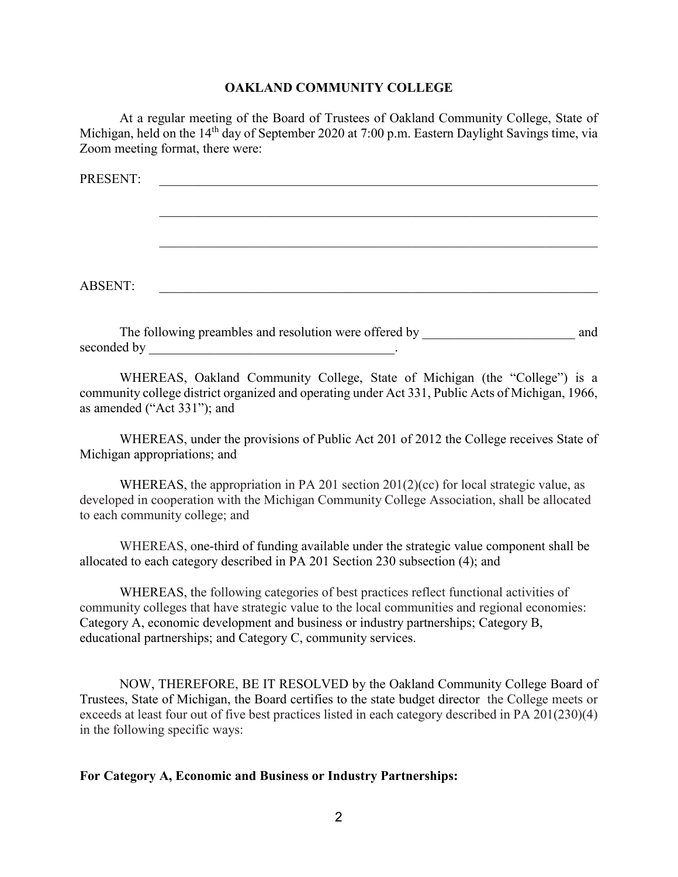#### **OAKLAND COMMUNITY COLLEGE**

At a regular meeting of the Board of Trustees of Oakland Community College, State of Michigan, held on the 14<sup>th</sup> day of September 2020 at 7:00 p.m. Eastern Daylight Savings time, via Zoom meeting format, there were:

| PRESENT:       |                                                        |     |
|----------------|--------------------------------------------------------|-----|
|                |                                                        |     |
|                |                                                        |     |
|                |                                                        |     |
|                |                                                        |     |
| <b>ABSENT:</b> |                                                        |     |
|                |                                                        |     |
|                | The following preambles and resolution were offered by | and |

WHEREAS, Oakland Community College, State of Michigan (the "College") is a community college district organized and operating under Act 331, Public Acts of Michigan, 1966, as amended ("Act 331"); and

seconded by the second state  $\sim$ 

WHEREAS, under the provisions of Public Act 201 of 2012 the College receives State of Michigan appropriations; and

WHEREAS, the appropriation in PA 201 section  $201(2)(cc)$  for local strategic value, as developed in cooperation with the Michigan Community College Association, shall be allocated to each community college; and

WHEREAS, one-third of funding available under the strategic value component shall be allocated to each category described in PA 201 Section 230 subsection (4); and

WHEREAS, the following categories of best practices reflect functional activities of community colleges that have strategic value to the local communities and regional economies: Category A, economic development and business or industry partnerships; Category B, educational partnerships; and Category C, community services.

NOW, THEREFORE, BE IT RESOLVED by the Oakland Community College Board of Trustees, State of Michigan, the Board certifies to the state budget director the College meets or exceeds at least four out of five best practices listed in each category described in PA 201(230)(4) in the following specific ways:

#### **For Category A, Economic and Business or Industry Partnerships:**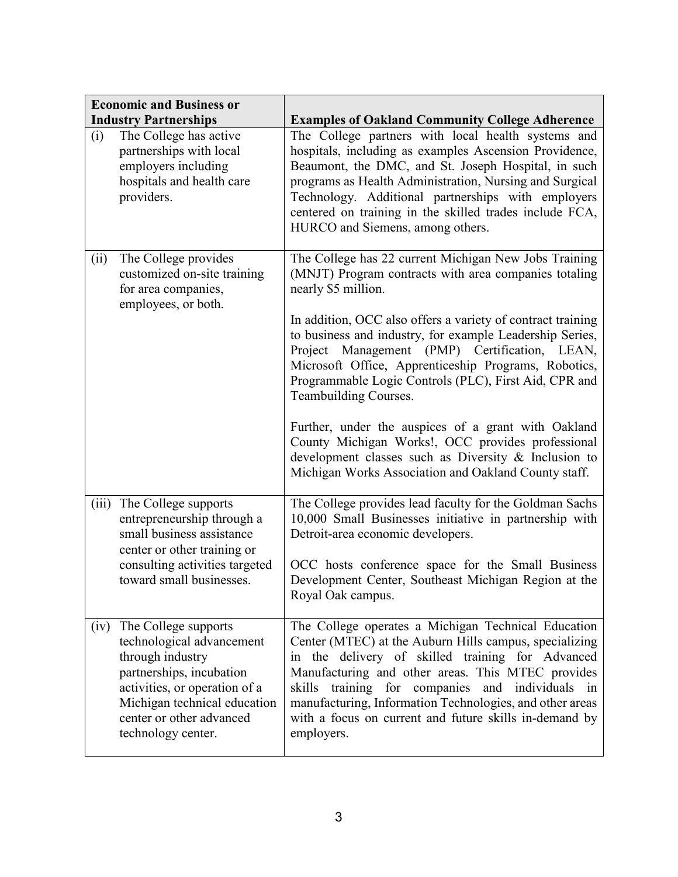|       | <b>Economic and Business or</b>                                                                                                                                                                                      |                                                                                                                                                                                                                                                                                                                                                                                                                                                                                                                                                                                                                                                                                            |
|-------|----------------------------------------------------------------------------------------------------------------------------------------------------------------------------------------------------------------------|--------------------------------------------------------------------------------------------------------------------------------------------------------------------------------------------------------------------------------------------------------------------------------------------------------------------------------------------------------------------------------------------------------------------------------------------------------------------------------------------------------------------------------------------------------------------------------------------------------------------------------------------------------------------------------------------|
|       | <b>Industry Partnerships</b>                                                                                                                                                                                         | <b>Examples of Oakland Community College Adherence</b>                                                                                                                                                                                                                                                                                                                                                                                                                                                                                                                                                                                                                                     |
| (i)   | The College has active<br>partnerships with local<br>employers including<br>hospitals and health care<br>providers.                                                                                                  | The College partners with local health systems and<br>hospitals, including as examples Ascension Providence,<br>Beaumont, the DMC, and St. Joseph Hospital, in such<br>programs as Health Administration, Nursing and Surgical<br>Technology. Additional partnerships with employers<br>centered on training in the skilled trades include FCA,<br>HURCO and Siemens, among others.                                                                                                                                                                                                                                                                                                        |
| (ii)  | The College provides<br>customized on-site training<br>for area companies,<br>employees, or both.                                                                                                                    | The College has 22 current Michigan New Jobs Training<br>(MNJT) Program contracts with area companies totaling<br>nearly \$5 million.<br>In addition, OCC also offers a variety of contract training<br>to business and industry, for example Leadership Series,<br>Management (PMP) Certification, LEAN,<br>Project<br>Microsoft Office, Apprenticeship Programs, Robotics,<br>Programmable Logic Controls (PLC), First Aid, CPR and<br>Teambuilding Courses.<br>Further, under the auspices of a grant with Oakland<br>County Michigan Works!, OCC provides professional<br>development classes such as Diversity & Inclusion to<br>Michigan Works Association and Oakland County staff. |
| (iii) | The College supports<br>entrepreneurship through a<br>small business assistance<br>center or other training or<br>consulting activities targeted<br>toward small businesses.                                         | The College provides lead faculty for the Goldman Sachs<br>10,000 Small Businesses initiative in partnership with<br>Detroit-area economic developers.<br>OCC hosts conference space for the Small Business<br>Development Center, Southeast Michigan Region at the<br>Royal Oak campus.                                                                                                                                                                                                                                                                                                                                                                                                   |
| (iv)  | The College supports<br>technological advancement<br>through industry<br>partnerships, incubation<br>activities, or operation of a<br>Michigan technical education<br>center or other advanced<br>technology center. | The College operates a Michigan Technical Education<br>Center (MTEC) at the Auburn Hills campus, specializing<br>the delivery of skilled training for Advanced<br>in<br>Manufacturing and other areas. This MTEC provides<br>skills training for companies and individuals in<br>manufacturing, Information Technologies, and other areas<br>with a focus on current and future skills in-demand by<br>employers.                                                                                                                                                                                                                                                                          |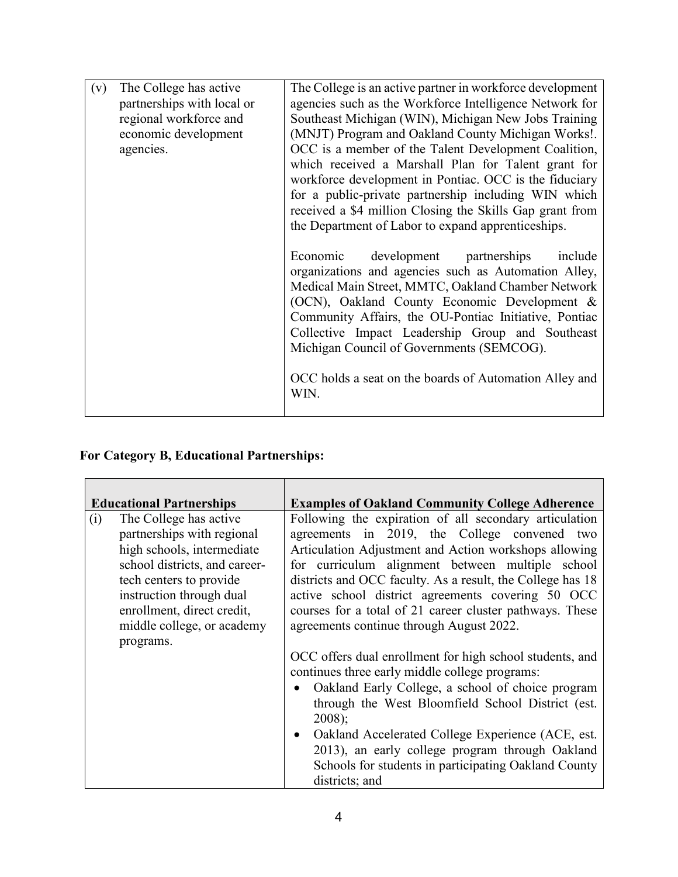| The College has active<br>(v)<br>partnerships with local or<br>regional workforce and<br>economic development<br>agencies. | The College is an active partner in workforce development<br>agencies such as the Workforce Intelligence Network for<br>Southeast Michigan (WIN), Michigan New Jobs Training<br>(MNJT) Program and Oakland County Michigan Works!.<br>OCC is a member of the Talent Development Coalition,<br>which received a Marshall Plan for Talent grant for<br>workforce development in Pontiac. OCC is the fiduciary<br>for a public-private partnership including WIN which<br>received a \$4 million Closing the Skills Gap grant from<br>the Department of Labor to expand apprenticeships. |
|----------------------------------------------------------------------------------------------------------------------------|---------------------------------------------------------------------------------------------------------------------------------------------------------------------------------------------------------------------------------------------------------------------------------------------------------------------------------------------------------------------------------------------------------------------------------------------------------------------------------------------------------------------------------------------------------------------------------------|
|                                                                                                                            | Economic development partnerships<br>include<br>organizations and agencies such as Automation Alley,<br>Medical Main Street, MMTC, Oakland Chamber Network<br>(OCN), Oakland County Economic Development &<br>Community Affairs, the OU-Pontiac Initiative, Pontiac<br>Collective Impact Leadership Group and Southeast<br>Michigan Council of Governments (SEMCOG).<br>OCC holds a seat on the boards of Automation Alley and<br>WIN.                                                                                                                                                |

# **For Category B, Educational Partnerships:**

| <b>Educational Partnerships</b>                                                                                                                                                                                                               | <b>Examples of Oakland Community College Adherence</b>                                                                                                                                                                                                                                                                                                                                                                                         |  |
|-----------------------------------------------------------------------------------------------------------------------------------------------------------------------------------------------------------------------------------------------|------------------------------------------------------------------------------------------------------------------------------------------------------------------------------------------------------------------------------------------------------------------------------------------------------------------------------------------------------------------------------------------------------------------------------------------------|--|
| (i)<br>The College has active<br>partnerships with regional<br>high schools, intermediate<br>school districts, and career-<br>tech centers to provide<br>instruction through dual<br>enrollment, direct credit,<br>middle college, or academy | Following the expiration of all secondary articulation<br>agreements in 2019, the College convened two<br>Articulation Adjustment and Action workshops allowing<br>for curriculum alignment between multiple school<br>districts and OCC faculty. As a result, the College has 18<br>active school district agreements covering 50 OCC<br>courses for a total of 21 career cluster pathways. These<br>agreements continue through August 2022. |  |
| programs.                                                                                                                                                                                                                                     | OCC offers dual enrollment for high school students, and<br>continues three early middle college programs:<br>Oakland Early College, a school of choice program<br>through the West Bloomfield School District (est.<br>$2008$ ;<br>• Oakland Accelerated College Experience (ACE, est.<br>2013), an early college program through Oakland<br>Schools for students in participating Oakland County<br>districts; and                           |  |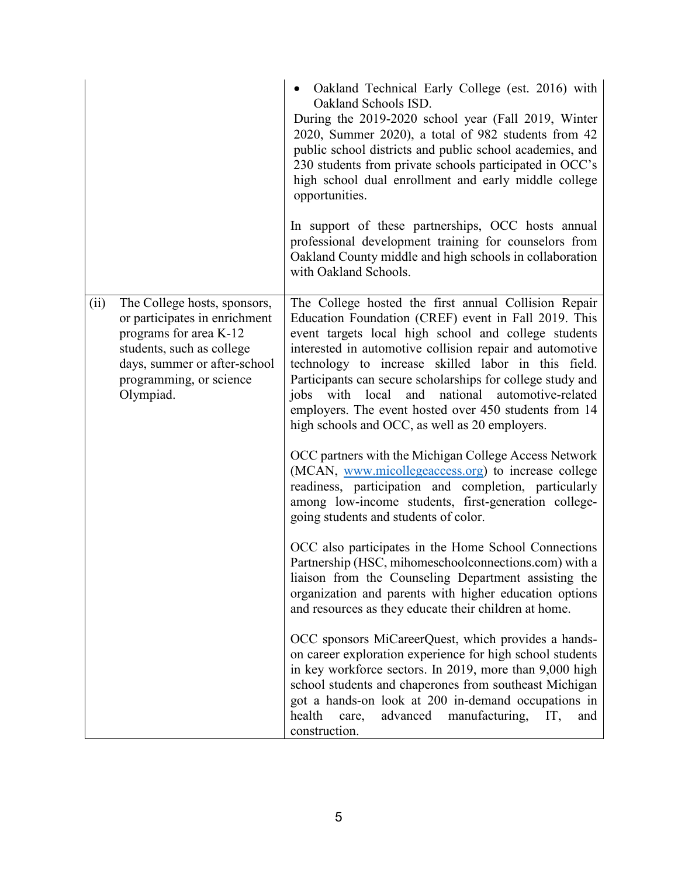|      |                                                                                                                                                                                              | Oakland Technical Early College (est. 2016) with<br>Oakland Schools ISD.<br>During the 2019-2020 school year (Fall 2019, Winter<br>2020, Summer 2020), a total of 982 students from 42<br>public school districts and public school academies, and<br>230 students from private schools participated in OCC's<br>high school dual enrollment and early middle college<br>opportunities.                                                                                                                                         |
|------|----------------------------------------------------------------------------------------------------------------------------------------------------------------------------------------------|---------------------------------------------------------------------------------------------------------------------------------------------------------------------------------------------------------------------------------------------------------------------------------------------------------------------------------------------------------------------------------------------------------------------------------------------------------------------------------------------------------------------------------|
|      |                                                                                                                                                                                              | In support of these partnerships, OCC hosts annual<br>professional development training for counselors from<br>Oakland County middle and high schools in collaboration<br>with Oakland Schools.                                                                                                                                                                                                                                                                                                                                 |
| (ii) | The College hosts, sponsors,<br>or participates in enrichment<br>programs for area K-12<br>students, such as college<br>days, summer or after-school<br>programming, or science<br>Olympiad. | The College hosted the first annual Collision Repair<br>Education Foundation (CREF) event in Fall 2019. This<br>event targets local high school and college students<br>interested in automotive collision repair and automotive<br>technology to increase skilled labor in this field.<br>Participants can secure scholarships for college study and<br>and national<br>with<br>local<br>jobs<br>automotive-related<br>employers. The event hosted over 450 students from 14<br>high schools and OCC, as well as 20 employers. |
|      |                                                                                                                                                                                              | OCC partners with the Michigan College Access Network<br>(MCAN, www.micollegeaccess.org) to increase college<br>readiness, participation and completion, particularly<br>among low-income students, first-generation college-<br>going students and students of color.                                                                                                                                                                                                                                                          |
|      |                                                                                                                                                                                              | OCC also participates in the Home School Connections<br>Partnership (HSC, mihomeschoolconnections.com) with a<br>liaison from the Counseling Department assisting the<br>organization and parents with higher education options<br>and resources as they educate their children at home.                                                                                                                                                                                                                                        |
|      |                                                                                                                                                                                              | OCC sponsors MiCareerQuest, which provides a hands-<br>on career exploration experience for high school students<br>in key workforce sectors. In 2019, more than 9,000 high<br>school students and chaperones from southeast Michigan<br>got a hands-on look at 200 in-demand occupations in<br>health<br>advanced<br>manufacturing,<br>care,<br>IT,<br>and<br>construction.                                                                                                                                                    |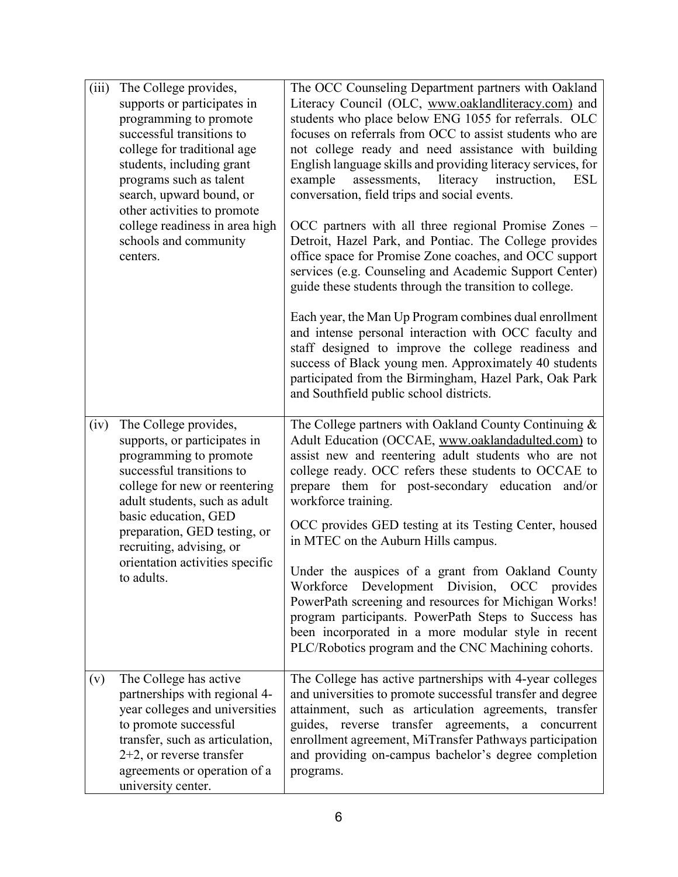| (iii) | The College provides,<br>supports or participates in<br>programming to promote<br>successful transitions to<br>college for traditional age<br>students, including grant<br>programs such as talent<br>search, upward bound, or<br>other activities to promote<br>college readiness in area high<br>schools and community<br>centers. | The OCC Counseling Department partners with Oakland<br>Literacy Council (OLC, www.oaklandliteracy.com) and<br>students who place below ENG 1055 for referrals. OLC<br>focuses on referrals from OCC to assist students who are<br>not college ready and need assistance with building<br>English language skills and providing literacy services, for<br>assessments, literacy instruction,<br>example<br><b>ESL</b><br>conversation, field trips and social events.<br>OCC partners with all three regional Promise Zones –<br>Detroit, Hazel Park, and Pontiac. The College provides<br>office space for Promise Zone coaches, and OCC support<br>services (e.g. Counseling and Academic Support Center)<br>guide these students through the transition to college.<br>Each year, the Man Up Program combines dual enrollment<br>and intense personal interaction with OCC faculty and<br>staff designed to improve the college readiness and<br>success of Black young men. Approximately 40 students<br>participated from the Birmingham, Hazel Park, Oak Park<br>and Southfield public school districts. |
|-------|--------------------------------------------------------------------------------------------------------------------------------------------------------------------------------------------------------------------------------------------------------------------------------------------------------------------------------------|---------------------------------------------------------------------------------------------------------------------------------------------------------------------------------------------------------------------------------------------------------------------------------------------------------------------------------------------------------------------------------------------------------------------------------------------------------------------------------------------------------------------------------------------------------------------------------------------------------------------------------------------------------------------------------------------------------------------------------------------------------------------------------------------------------------------------------------------------------------------------------------------------------------------------------------------------------------------------------------------------------------------------------------------------------------------------------------------------------------|
| (iv)  | The College provides,<br>supports, or participates in<br>programming to promote<br>successful transitions to<br>college for new or reentering<br>adult students, such as adult<br>basic education, GED<br>preparation, GED testing, or<br>recruiting, advising, or<br>orientation activities specific<br>to adults.                  | The College partners with Oakland County Continuing &<br>Adult Education (OCCAE, www.oaklandadulted.com) to<br>assist new and reentering adult students who are not<br>college ready. OCC refers these students to OCCAE to<br>prepare them for post-secondary education and/or<br>workforce training.<br>OCC provides GED testing at its Testing Center, housed<br>in MTEC on the Auburn Hills campus.<br>Under the auspices of a grant from Oakland County<br>Workforce Development Division, OCC provides<br>PowerPath screening and resources for Michigan Works!<br>program participants. PowerPath Steps to Success has<br>been incorporated in a more modular style in recent<br>PLC/Robotics program and the CNC Machining cohorts.                                                                                                                                                                                                                                                                                                                                                                   |
| (v)   | The College has active<br>partnerships with regional 4-<br>year colleges and universities<br>to promote successful<br>transfer, such as articulation,<br>$2+2$ , or reverse transfer<br>agreements or operation of a<br>university center.                                                                                           | The College has active partnerships with 4-year colleges<br>and universities to promote successful transfer and degree<br>attainment, such as articulation agreements, transfer<br>guides, reverse transfer agreements, a<br>concurrent<br>enrollment agreement, MiTransfer Pathways participation<br>and providing on-campus bachelor's degree completion<br>programs.                                                                                                                                                                                                                                                                                                                                                                                                                                                                                                                                                                                                                                                                                                                                       |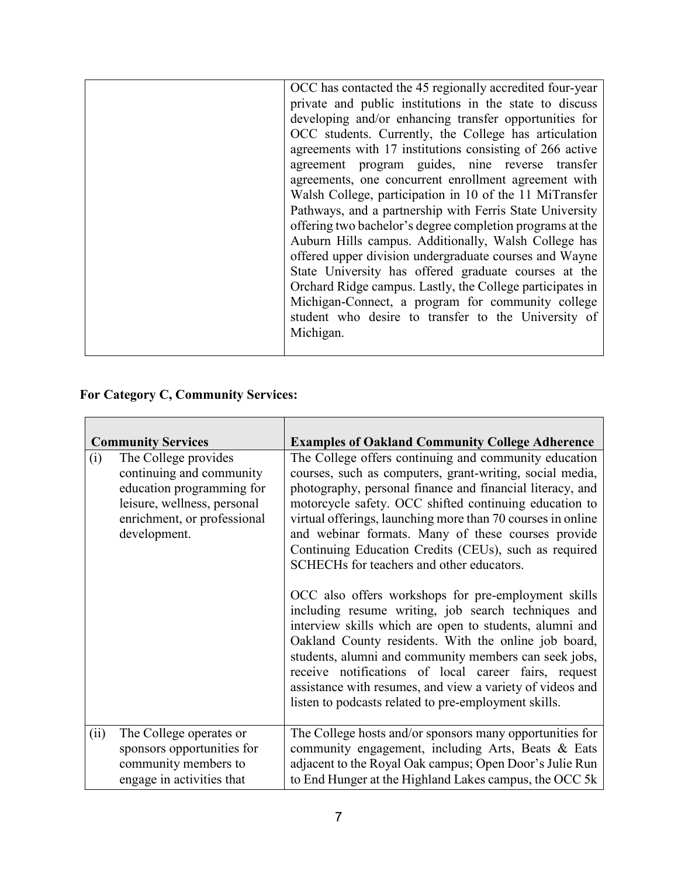| OCC has contacted the 45 regionally accredited four-year  |
|-----------------------------------------------------------|
| private and public institutions in the state to discuss   |
| developing and/or enhancing transfer opportunities for    |
| OCC students. Currently, the College has articulation     |
| agreements with 17 institutions consisting of 266 active  |
| agreement program guides, nine reverse transfer           |
| agreements, one concurrent enrollment agreement with      |
| Walsh College, participation in 10 of the 11 MiTransfer   |
| Pathways, and a partnership with Ferris State University  |
| offering two bachelor's degree completion programs at the |
| Auburn Hills campus. Additionally, Walsh College has      |
| offered upper division undergraduate courses and Wayne    |
| State University has offered graduate courses at the      |
| Orchard Ridge campus. Lastly, the College participates in |
| Michigan-Connect, a program for community college         |
| student who desire to transfer to the University of       |
| Michigan.                                                 |
|                                                           |

# **For Category C, Community Services:**

| <b>Community Services</b>                                                                                                                                          | <b>Examples of Oakland Community College Adherence</b>                                                                                                                                                                                                                                                                                                                                                                                                                                                                                                                                                                                                                                                                                                                                                                                                                                                                                     |
|--------------------------------------------------------------------------------------------------------------------------------------------------------------------|--------------------------------------------------------------------------------------------------------------------------------------------------------------------------------------------------------------------------------------------------------------------------------------------------------------------------------------------------------------------------------------------------------------------------------------------------------------------------------------------------------------------------------------------------------------------------------------------------------------------------------------------------------------------------------------------------------------------------------------------------------------------------------------------------------------------------------------------------------------------------------------------------------------------------------------------|
| The College provides<br>(i)<br>continuing and community<br>education programming for<br>leisure, wellness, personal<br>enrichment, or professional<br>development. | The College offers continuing and community education<br>courses, such as computers, grant-writing, social media,<br>photography, personal finance and financial literacy, and<br>motorcycle safety. OCC shifted continuing education to<br>virtual offerings, launching more than 70 courses in online<br>and webinar formats. Many of these courses provide<br>Continuing Education Credits (CEUs), such as required<br>SCHECHs for teachers and other educators.<br>OCC also offers workshops for pre-employment skills<br>including resume writing, job search techniques and<br>interview skills which are open to students, alumni and<br>Oakland County residents. With the online job board,<br>students, alumni and community members can seek jobs,<br>receive notifications of local career fairs, request<br>assistance with resumes, and view a variety of videos and<br>listen to podcasts related to pre-employment skills. |
| The College operates or<br>(ii)<br>sponsors opportunities for                                                                                                      | The College hosts and/or sponsors many opportunities for<br>community engagement, including Arts, Beats & Eats                                                                                                                                                                                                                                                                                                                                                                                                                                                                                                                                                                                                                                                                                                                                                                                                                             |
| community members to<br>engage in activities that                                                                                                                  | adjacent to the Royal Oak campus; Open Door's Julie Run<br>to End Hunger at the Highland Lakes campus, the OCC 5k                                                                                                                                                                                                                                                                                                                                                                                                                                                                                                                                                                                                                                                                                                                                                                                                                          |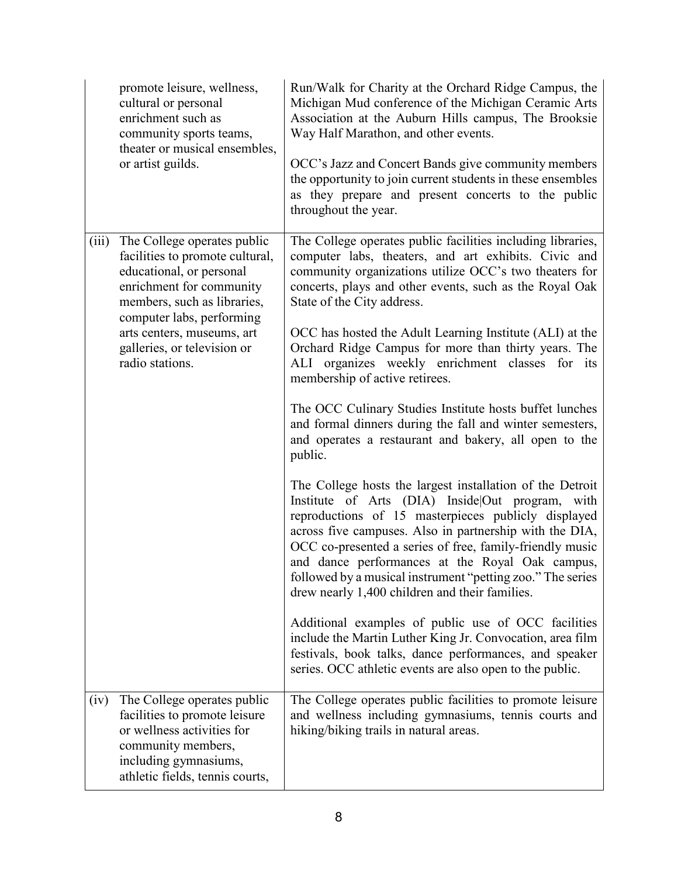|       | promote leisure, wellness,<br>cultural or personal<br>enrichment such as<br>community sports teams,<br>theater or musical ensembles,<br>or artist guilds.                                                                                                          | Run/Walk for Charity at the Orchard Ridge Campus, the<br>Michigan Mud conference of the Michigan Ceramic Arts<br>Association at the Auburn Hills campus, The Brooksie<br>Way Half Marathon, and other events.<br>OCC's Jazz and Concert Bands give community members<br>the opportunity to join current students in these ensembles<br>as they prepare and present concerts to the public<br>throughout the year.                                                                                                                                                                                                                                                                                                                                                                                                                                                                                                                                                                                                                                                                                                                                                                                                                                                                                                                                                                      |
|-------|--------------------------------------------------------------------------------------------------------------------------------------------------------------------------------------------------------------------------------------------------------------------|----------------------------------------------------------------------------------------------------------------------------------------------------------------------------------------------------------------------------------------------------------------------------------------------------------------------------------------------------------------------------------------------------------------------------------------------------------------------------------------------------------------------------------------------------------------------------------------------------------------------------------------------------------------------------------------------------------------------------------------------------------------------------------------------------------------------------------------------------------------------------------------------------------------------------------------------------------------------------------------------------------------------------------------------------------------------------------------------------------------------------------------------------------------------------------------------------------------------------------------------------------------------------------------------------------------------------------------------------------------------------------------|
| (iii) | The College operates public<br>facilities to promote cultural,<br>educational, or personal<br>enrichment for community<br>members, such as libraries,<br>computer labs, performing<br>arts centers, museums, art<br>galleries, or television or<br>radio stations. | The College operates public facilities including libraries,<br>computer labs, theaters, and art exhibits. Civic and<br>community organizations utilize OCC's two theaters for<br>concerts, plays and other events, such as the Royal Oak<br>State of the City address.<br>OCC has hosted the Adult Learning Institute (ALI) at the<br>Orchard Ridge Campus for more than thirty years. The<br>ALI organizes weekly enrichment classes for its<br>membership of active retirees.<br>The OCC Culinary Studies Institute hosts buffet lunches<br>and formal dinners during the fall and winter semesters,<br>and operates a restaurant and bakery, all open to the<br>public.<br>The College hosts the largest installation of the Detroit<br>Institute of Arts (DIA) Inside Out program, with<br>reproductions of 15 masterpieces publicly displayed<br>across five campuses. Also in partnership with the DIA,<br>OCC co-presented a series of free, family-friendly music<br>and dance performances at the Royal Oak campus,<br>followed by a musical instrument "petting zoo." The series<br>drew nearly 1,400 children and their families.<br>Additional examples of public use of OCC facilities<br>include the Martin Luther King Jr. Convocation, area film<br>festivals, book talks, dance performances, and speaker<br>series. OCC athletic events are also open to the public. |
| (iv)  | The College operates public<br>facilities to promote leisure<br>or wellness activities for<br>community members,<br>including gymnasiums,<br>athletic fields, tennis courts,                                                                                       | The College operates public facilities to promote leisure<br>and wellness including gymnasiums, tennis courts and<br>hiking/biking trails in natural areas.                                                                                                                                                                                                                                                                                                                                                                                                                                                                                                                                                                                                                                                                                                                                                                                                                                                                                                                                                                                                                                                                                                                                                                                                                            |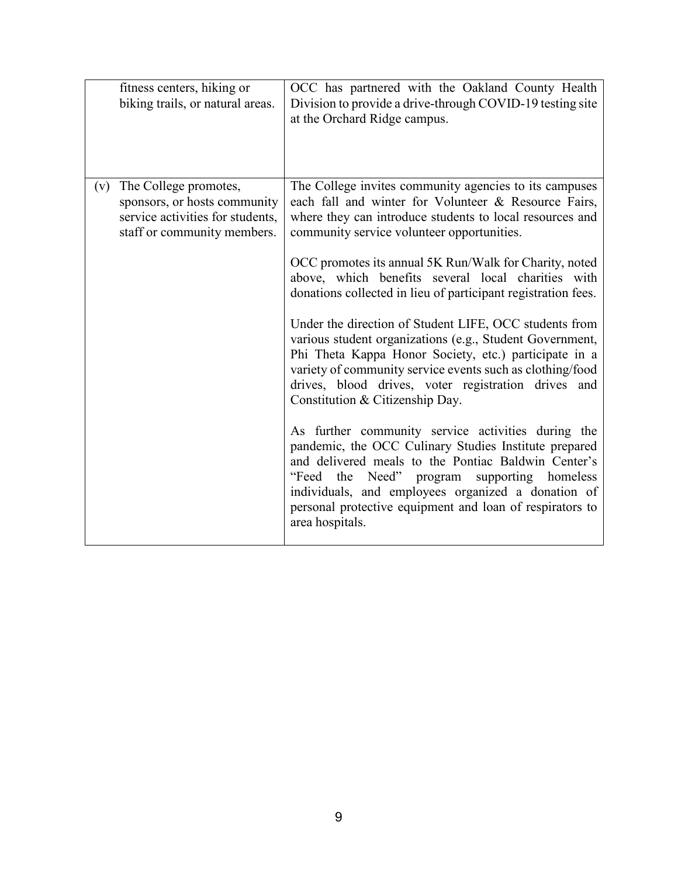| fitness centers, hiking or<br>biking trails, or natural areas.                                                                  | OCC has partnered with the Oakland County Health<br>Division to provide a drive-through COVID-19 testing site<br>at the Orchard Ridge campus.                                                                                                                                                                                                                                                                                                                                                                                                                                                                                                                                                                                                                                                                                                                                                                                                                                                                                                                                                                |
|---------------------------------------------------------------------------------------------------------------------------------|--------------------------------------------------------------------------------------------------------------------------------------------------------------------------------------------------------------------------------------------------------------------------------------------------------------------------------------------------------------------------------------------------------------------------------------------------------------------------------------------------------------------------------------------------------------------------------------------------------------------------------------------------------------------------------------------------------------------------------------------------------------------------------------------------------------------------------------------------------------------------------------------------------------------------------------------------------------------------------------------------------------------------------------------------------------------------------------------------------------|
| The College promotes,<br>(v)<br>sponsors, or hosts community<br>service activities for students,<br>staff or community members. | The College invites community agencies to its campuses<br>each fall and winter for Volunteer & Resource Fairs,<br>where they can introduce students to local resources and<br>community service volunteer opportunities.<br>OCC promotes its annual 5K Run/Walk for Charity, noted<br>above, which benefits several local charities with<br>donations collected in lieu of participant registration fees.<br>Under the direction of Student LIFE, OCC students from<br>various student organizations (e.g., Student Government,<br>Phi Theta Kappa Honor Society, etc.) participate in a<br>variety of community service events such as clothing/food<br>drives, blood drives, voter registration drives and<br>Constitution & Citizenship Day.<br>As further community service activities during the<br>pandemic, the OCC Culinary Studies Institute prepared<br>and delivered meals to the Pontiac Baldwin Center's<br>"Feed the Need" program<br>supporting homeless<br>individuals, and employees organized a donation of<br>personal protective equipment and loan of respirators to<br>area hospitals. |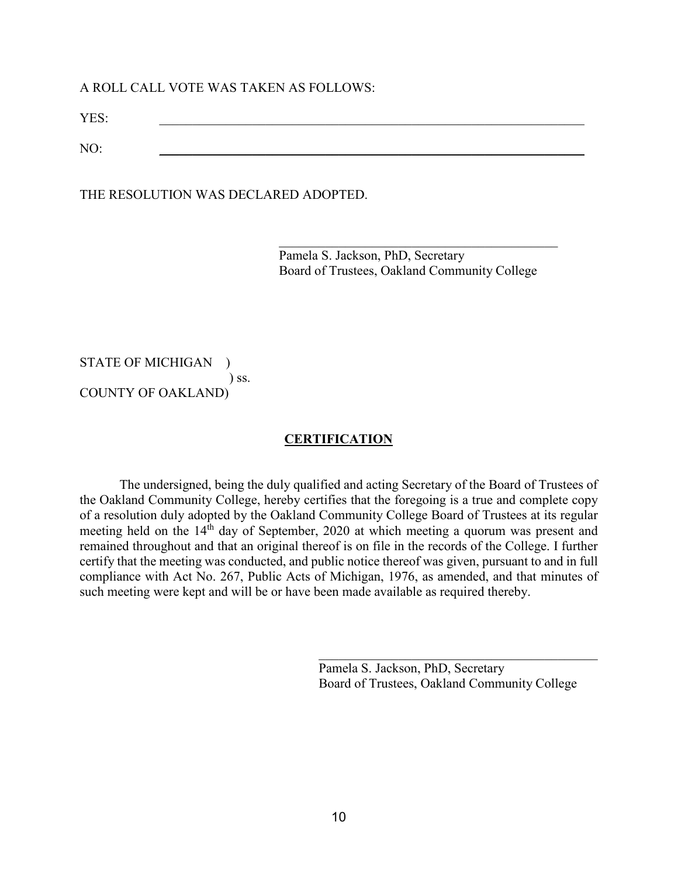#### A ROLL CALL VOTE WAS TAKEN AS FOLLOWS:

YES: \_\_\_\_\_\_\_\_\_\_\_\_\_\_\_\_\_\_\_\_\_\_\_\_\_\_\_\_\_\_\_\_\_\_\_\_\_\_\_\_\_\_\_\_\_\_\_\_\_\_\_\_\_\_\_\_\_\_\_\_\_\_\_\_

NO: \_\_\_\_\_\_\_\_\_\_\_\_\_\_\_\_\_\_\_\_\_\_\_\_\_\_\_\_\_\_\_\_\_\_\_\_\_\_\_\_\_\_\_\_\_\_\_\_\_\_\_\_\_\_\_\_\_\_\_\_\_\_\_\_

THE RESOLUTION WAS DECLARED ADOPTED.

Pamela S. Jackson, PhD, Secretary Board of Trustees, Oakland Community College

STATE OF MICHIGAN ) ) ss. COUNTY OF OAKLAND)

#### **CERTIFICATION**

The undersigned, being the duly qualified and acting Secretary of the Board of Trustees of the Oakland Community College, hereby certifies that the foregoing is a true and complete copy of a resolution duly adopted by the Oakland Community College Board of Trustees at its regular meeting held on the 14<sup>th</sup> day of September, 2020 at which meeting a quorum was present and remained throughout and that an original thereof is on file in the records of the College. I further certify that the meeting was conducted, and public notice thereof was given, pursuant to and in full compliance with Act No. 267, Public Acts of Michigan, 1976, as amended, and that minutes of such meeting were kept and will be or have been made available as required thereby.

> Pamela S. Jackson, PhD, Secretary Board of Trustees, Oakland Community College

 $\mathcal{L}_\mathcal{L}$  , where  $\mathcal{L}_\mathcal{L}$  , we have the set of the set of the set of the set of the set of the set of the set of the set of the set of the set of the set of the set of the set of the set of the set of the set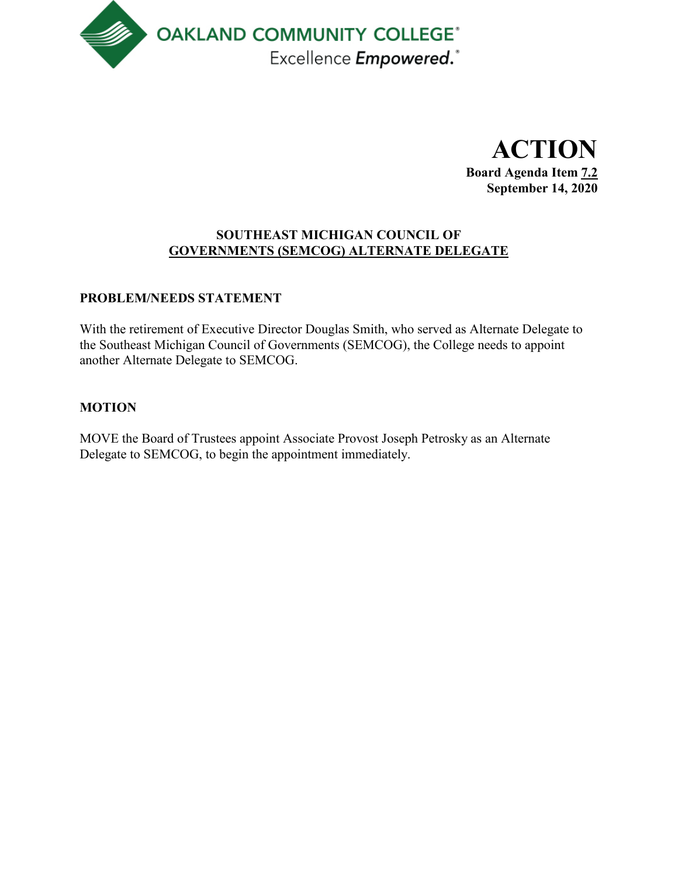

**ACTION Board Agenda Item 7.2 September 14, 2020**

# **SOUTHEAST MICHIGAN COUNCIL OF GOVERNMENTS (SEMCOG) ALTERNATE DELEGATE**

# **PROBLEM/NEEDS STATEMENT**

With the retirement of Executive Director Douglas Smith, who served as Alternate Delegate to the Southeast Michigan Council of Governments (SEMCOG), the College needs to appoint another Alternate Delegate to SEMCOG.

# **MOTION**

MOVE the Board of Trustees appoint Associate Provost Joseph Petrosky as an Alternate Delegate to SEMCOG, to begin the appointment immediately.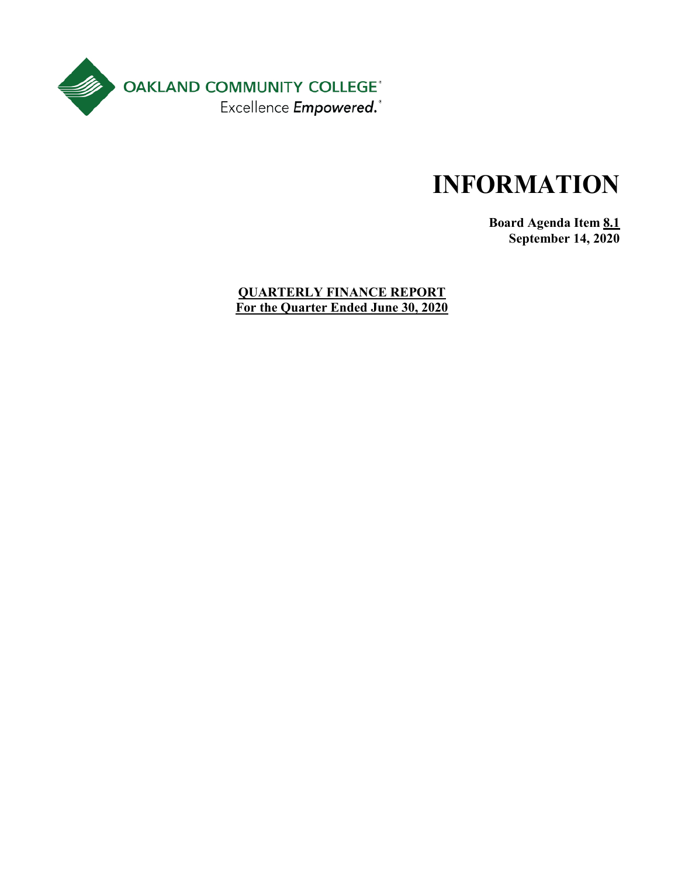

**Board Agenda Item 8.1 September 14, 2020**

**QUARTERLY FINANCE REPORT For the Quarter Ended June 30, 2020**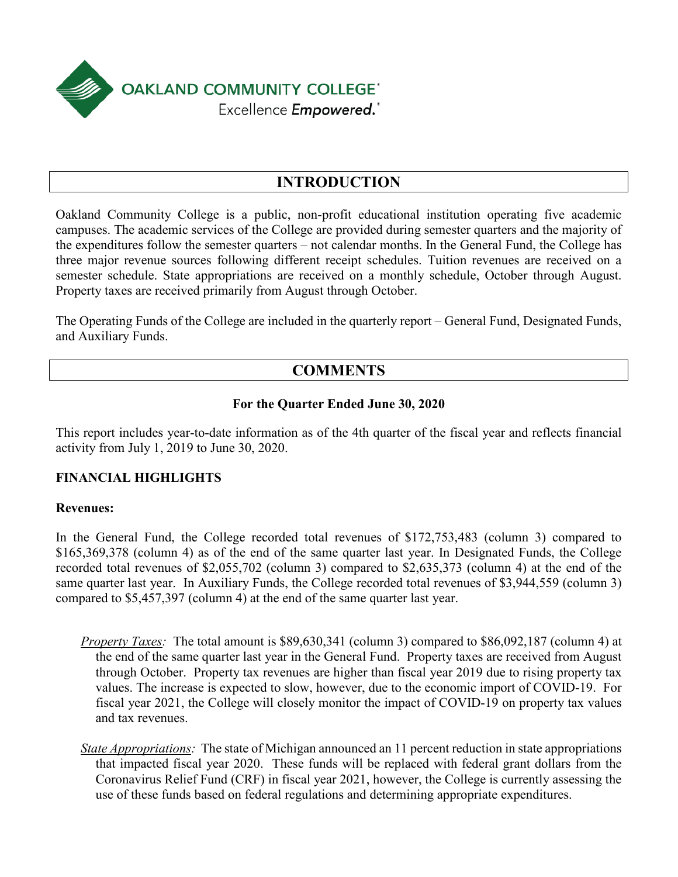

# **INTRODUCTION**

Oakland Community College is a public, non-profit educational institution operating five academic campuses. The academic services of the College are provided during semester quarters and the majority of the expenditures follow the semester quarters – not calendar months. In the General Fund, the College has three major revenue sources following different receipt schedules. Tuition revenues are received on a semester schedule. State appropriations are received on a monthly schedule, October through August. Property taxes are received primarily from August through October.

The Operating Funds of the College are included in the quarterly report – General Fund, Designated Funds, and Auxiliary Funds.

# **COMMENTS**

### **For the Quarter Ended June 30, 2020**

This report includes year-to-date information as of the 4th quarter of the fiscal year and reflects financial activity from July 1, 2019 to June 30, 2020.

# **FINANCIAL HIGHLIGHTS**

#### **Revenues:**

In the General Fund, the College recorded total revenues of \$172,753,483 (column 3) compared to \$165,369,378 (column 4) as of the end of the same quarter last year. In Designated Funds, the College recorded total revenues of \$2,055,702 (column 3) compared to \$2,635,373 (column 4) at the end of the same quarter last year. In Auxiliary Funds, the College recorded total revenues of \$3,944,559 (column 3) compared to \$5,457,397 (column 4) at the end of the same quarter last year.

- *Property Taxes:* The total amount is \$89,630,341 (column 3) compared to \$86,092,187 (column 4) at the end of the same quarter last year in the General Fund. Property taxes are received from August through October. Property tax revenues are higher than fiscal year 2019 due to rising property tax values. The increase is expected to slow, however, due to the economic import of COVID-19. For fiscal year 2021, the College will closely monitor the impact of COVID-19 on property tax values and tax revenues.
- *State Appropriations:* The state of Michigan announced an 11 percent reduction in state appropriations that impacted fiscal year 2020. These funds will be replaced with federal grant dollars from the Coronavirus Relief Fund (CRF) in fiscal year 2021, however, the College is currently assessing the use of these funds based on federal regulations and determining appropriate expenditures.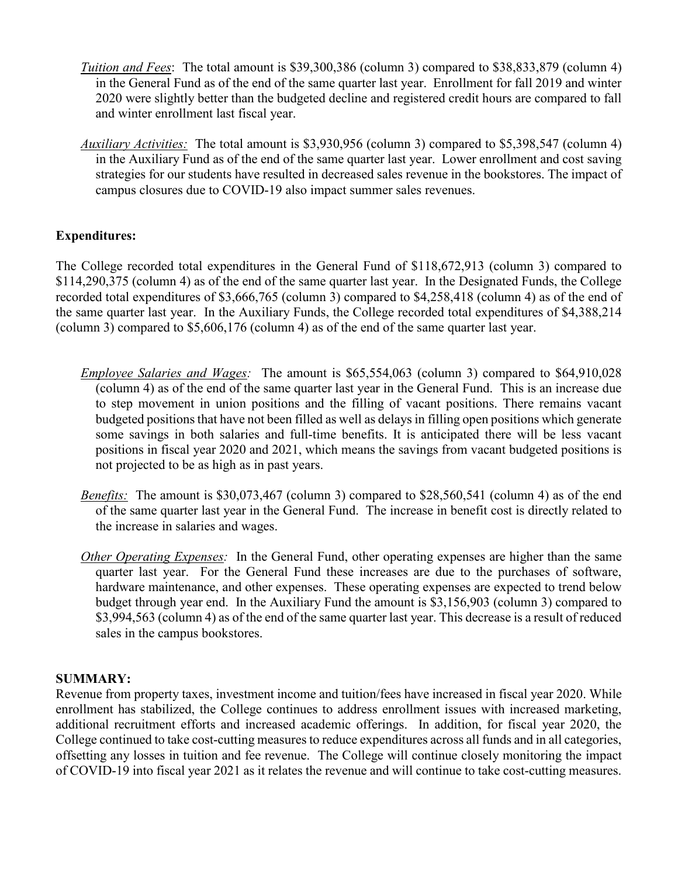- *Tuition and Fees*:The total amount is \$39,300,386 (column 3) compared to \$38,833,879 (column 4) in the General Fund as of the end of the same quarter last year. Enrollment for fall 2019 and winter 2020 were slightly better than the budgeted decline and registered credit hours are compared to fall and winter enrollment last fiscal year.
- *Auxiliary Activities:* The total amount is \$3,930,956 (column 3) compared to \$5,398,547 (column 4) in the Auxiliary Fund as of the end of the same quarter last year. Lower enrollment and cost saving strategies for our students have resulted in decreased sales revenue in the bookstores. The impact of campus closures due to COVID-19 also impact summer sales revenues.

# **Expenditures:**

The College recorded total expenditures in the General Fund of \$118,672,913 (column 3) compared to \$114,290,375 (column 4) as of the end of the same quarter last year. In the Designated Funds, the College recorded total expenditures of \$3,666,765 (column 3) compared to \$4,258,418 (column 4) as of the end of the same quarter last year. In the Auxiliary Funds, the College recorded total expenditures of \$4,388,214 (column 3) compared to \$5,606,176 (column 4) as of the end of the same quarter last year.

- *Employee Salaries and Wages:* The amount is \$65,554,063 (column 3) compared to \$64,910,028 (column 4) as of the end of the same quarter last year in the General Fund. This is an increase due to step movement in union positions and the filling of vacant positions. There remains vacant budgeted positions that have not been filled as well as delays in filling open positions which generate some savings in both salaries and full-time benefits. It is anticipated there will be less vacant positions in fiscal year 2020 and 2021, which means the savings from vacant budgeted positions is not projected to be as high as in past years.
- *Benefits:* The amount is \$30,073,467 (column 3) compared to \$28,560,541 (column 4) as of the end of the same quarter last year in the General Fund. The increase in benefit cost is directly related to the increase in salaries and wages.
- *Other Operating Expenses:* In the General Fund, other operating expenses are higher than the same quarter last year. For the General Fund these increases are due to the purchases of software, hardware maintenance, and other expenses. These operating expenses are expected to trend below budget through year end. In the Auxiliary Fund the amount is \$3,156,903 (column 3) compared to \$3,994,563 (column 4) as of the end of the same quarter last year. This decrease is a result of reduced sales in the campus bookstores.

# **SUMMARY:**

Revenue from property taxes, investment income and tuition/fees have increased in fiscal year 2020. While enrollment has stabilized, the College continues to address enrollment issues with increased marketing, additional recruitment efforts and increased academic offerings. In addition, for fiscal year 2020, the College continued to take cost-cutting measures to reduce expenditures across all funds and in all categories, offsetting any losses in tuition and fee revenue. The College will continue closely monitoring the impact of COVID-19 into fiscal year 2021 as it relates the revenue and will continue to take cost-cutting measures.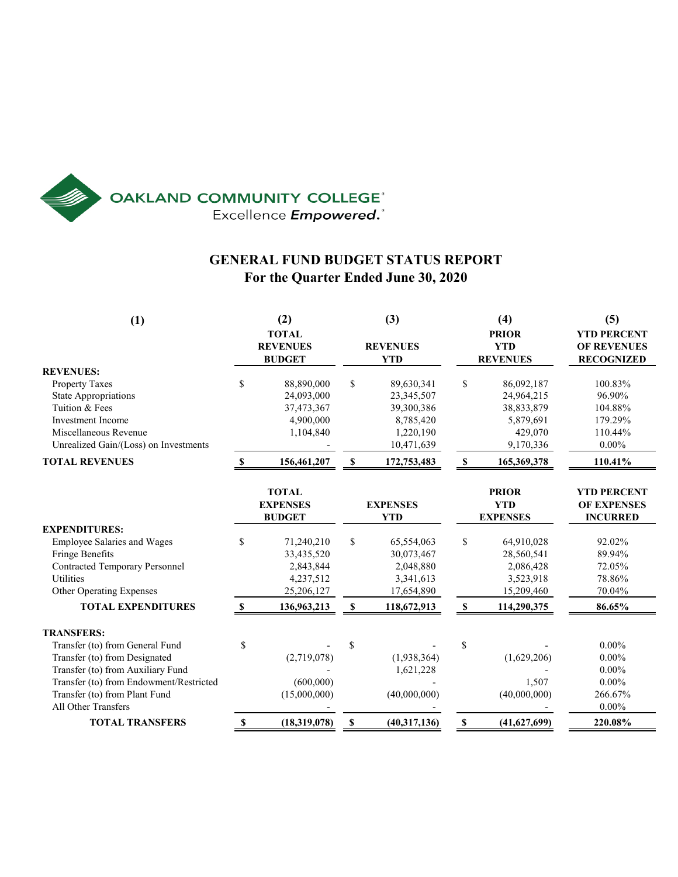

# **GENERAL FUND BUDGET STATUS REPORT For the Quarter Ended June 30, 2020**

| (1)                                                                                                                                                                                                                           |              | (2)<br><b>TOTAL</b><br><b>REVENUES</b><br><b>BUDGET</b>          |             | (3)<br><b>REVENUES</b><br><b>YTD</b>                                           |              | (4)<br><b>PRIOR</b><br><b>YTD</b><br><b>REVENUES</b>                        | (5)<br><b>YTD PERCENT</b><br><b>OF REVENUES</b><br><b>RECOGNIZED</b> |  |
|-------------------------------------------------------------------------------------------------------------------------------------------------------------------------------------------------------------------------------|--------------|------------------------------------------------------------------|-------------|--------------------------------------------------------------------------------|--------------|-----------------------------------------------------------------------------|----------------------------------------------------------------------|--|
| <b>REVENUES:</b><br><b>Property Taxes</b><br><b>State Appropriations</b><br>Tuition & Fees<br><b>Investment Income</b><br>Miscellaneous Revenue<br>Unrealized Gain/(Loss) on Investments                                      | \$           | 88,890,000<br>24,093,000<br>37,473,367<br>4,900,000<br>1,104,840 | \$          | 89,630,341<br>23,345,507<br>39,300,386<br>8,785,420<br>1,220,190<br>10,471,639 | \$           | 86,092,187<br>24,964,215<br>38,833,879<br>5,879,691<br>429,070<br>9,170,336 | 100.83%<br>96.90%<br>104.88%<br>179.29%<br>110.44%<br>$0.00\%$       |  |
| <b>TOTAL REVENUES</b>                                                                                                                                                                                                         | \$.          | 156,461,207                                                      | S           | 172,753,483                                                                    | S            | 165,369,378                                                                 | 110.41%                                                              |  |
|                                                                                                                                                                                                                               |              | <b>TOTAL</b><br><b>EXPENSES</b><br><b>BUDGET</b>                 |             | <b>EXPENSES</b><br><b>YTD</b>                                                  |              | <b>PRIOR</b><br><b>YTD</b><br><b>EXPENSES</b>                               | <b>YTD PERCENT</b><br><b>OF EXPENSES</b><br><b>INCURRED</b>          |  |
| <b>EXPENDITURES:</b><br>Employee Salaries and Wages<br>Fringe Benefits<br><b>Contracted Temporary Personnel</b><br><b>Utilities</b><br>Other Operating Expenses                                                               | \$           | 71,240,210<br>33,435,520<br>2,843,844<br>4,237,512<br>25,206,127 | \$          | 65,554,063<br>30,073,467<br>2,048,880<br>3,341,613<br>17,654,890               | \$           | 64,910,028<br>28,560,541<br>2,086,428<br>3,523,918<br>15,209,460            | 92.02%<br>89.94%<br>72.05%<br>78.86%<br>70.04%                       |  |
| <b>TOTAL EXPENDITURES</b>                                                                                                                                                                                                     | $\mathbf{s}$ | 136,963,213                                                      | \$          | 118,672,913                                                                    | $\mathbf{s}$ | 114,290,375                                                                 | 86.65%                                                               |  |
| <b>TRANSFERS:</b><br>Transfer (to) from General Fund<br>Transfer (to) from Designated<br>Transfer (to) from Auxiliary Fund<br>Transfer (to) from Endowment/Restricted<br>Transfer (to) from Plant Fund<br>All Other Transfers | \$           | (2,719,078)<br>(600,000)<br>(15,000,000)                         | $\mathbf S$ | (1,938,364)<br>1,621,228<br>(40,000,000)                                       | \$           | (1,629,206)<br>1,507<br>(40,000,000)                                        | $0.00\%$<br>$0.00\%$<br>$0.00\%$<br>$0.00\%$<br>266.67%<br>$0.00\%$  |  |
| <b>TOTAL TRANSFERS</b>                                                                                                                                                                                                        | \$           | (18,319,078)                                                     | \$          | (40,317,136)                                                                   | \$           | (41,627,699)                                                                | 220.08%                                                              |  |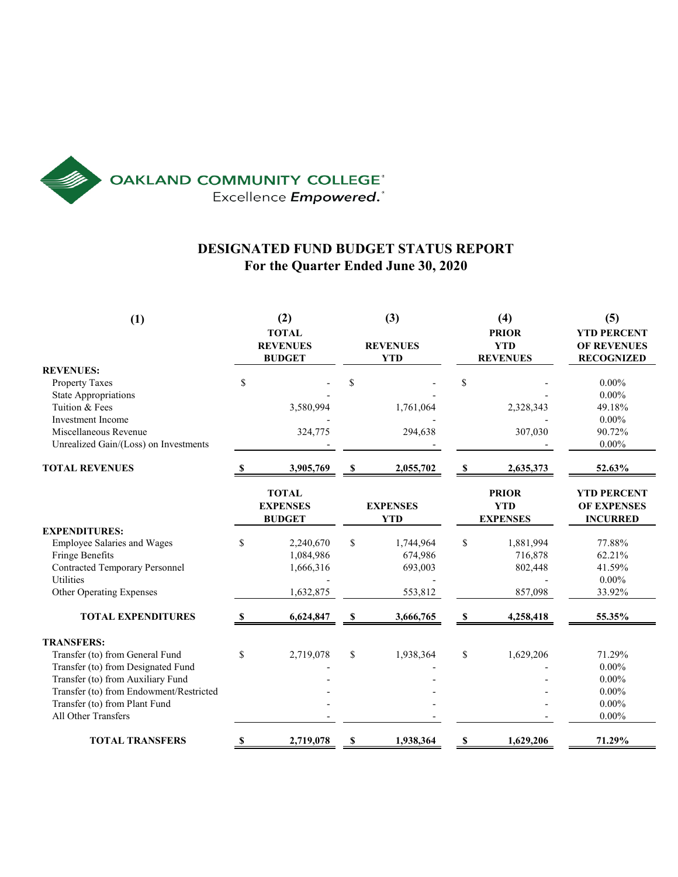

# **DESIGNATED FUND BUDGET STATUS REPORT For the Quarter Ended June 30, 2020**

| (1)                                     | (2)<br><b>TOTAL</b><br><b>REVENUES</b><br><b>BUDGET</b> |           | (3)<br><b>REVENUES</b><br><b>YTD</b> |           |                                               | (4)<br><b>PRIOR</b><br><b>YTD</b><br><b>REVENUES</b> | (5)<br><b>YTD PERCENT</b><br><b>OF REVENUES</b><br><b>RECOGNIZED</b> |  |
|-----------------------------------------|---------------------------------------------------------|-----------|--------------------------------------|-----------|-----------------------------------------------|------------------------------------------------------|----------------------------------------------------------------------|--|
| <b>REVENUES:</b>                        |                                                         |           |                                      |           |                                               |                                                      |                                                                      |  |
| <b>Property Taxes</b>                   | \$                                                      |           | \$                                   |           | \$                                            |                                                      | $0.00\%$                                                             |  |
| <b>State Appropriations</b>             |                                                         |           |                                      |           |                                               |                                                      | $0.00\%$                                                             |  |
| Tuition & Fees                          |                                                         | 3,580,994 |                                      | 1,761,064 |                                               | 2,328,343                                            | 49.18%                                                               |  |
| <b>Investment Income</b>                |                                                         |           |                                      |           |                                               |                                                      | $0.00\%$                                                             |  |
| Miscellaneous Revenue                   |                                                         | 324,775   |                                      | 294,638   |                                               | 307,030                                              | 90.72%                                                               |  |
| Unrealized Gain/(Loss) on Investments   |                                                         |           |                                      |           |                                               |                                                      | $0.00\%$                                                             |  |
| <b>TOTAL REVENUES</b>                   |                                                         | 3,905,769 | \$                                   | 2,055,702 | S                                             | 2,635,373                                            | 52.63%                                                               |  |
|                                         | <b>TOTAL</b><br><b>EXPENSES</b><br><b>BUDGET</b>        |           | <b>EXPENSES</b><br><b>YTD</b>        |           | <b>PRIOR</b><br><b>YTD</b><br><b>EXPENSES</b> |                                                      | <b>YTD PERCENT</b><br><b>OF EXPENSES</b><br><b>INCURRED</b>          |  |
| <b>EXPENDITURES:</b>                    |                                                         |           |                                      |           |                                               |                                                      |                                                                      |  |
| Employee Salaries and Wages             | \$                                                      | 2,240,670 | \$                                   | 1,744,964 | \$                                            | 1,881,994                                            | 77.88%                                                               |  |
| Fringe Benefits                         |                                                         | 1,084,986 |                                      | 674,986   |                                               | 716,878                                              | 62.21%                                                               |  |
| <b>Contracted Temporary Personnel</b>   |                                                         | 1,666,316 |                                      | 693,003   |                                               | 802,448                                              | 41.59%                                                               |  |
| <b>Utilities</b>                        |                                                         |           |                                      |           |                                               |                                                      | $0.00\%$                                                             |  |
| Other Operating Expenses                |                                                         | 1,632,875 |                                      | 553,812   |                                               | 857,098                                              | 33.92%                                                               |  |
| <b>TOTAL EXPENDITURES</b>               | S                                                       | 6,624,847 | \$                                   | 3,666,765 | \$                                            | 4,258,418                                            | 55.35%                                                               |  |
| <b>TRANSFERS:</b>                       |                                                         |           |                                      |           |                                               |                                                      |                                                                      |  |
| Transfer (to) from General Fund         | \$                                                      | 2,719,078 | \$                                   | 1,938,364 | \$                                            | 1,629,206                                            | 71.29%                                                               |  |
| Transfer (to) from Designated Fund      |                                                         |           |                                      |           |                                               |                                                      | $0.00\%$                                                             |  |
| Transfer (to) from Auxiliary Fund       |                                                         |           |                                      |           |                                               |                                                      | $0.00\%$                                                             |  |
| Transfer (to) from Endowment/Restricted |                                                         |           |                                      |           |                                               |                                                      | $0.00\%$                                                             |  |
| Transfer (to) from Plant Fund           |                                                         |           |                                      |           |                                               |                                                      | $0.00\%$                                                             |  |
| All Other Transfers                     |                                                         |           |                                      |           |                                               |                                                      | $0.00\%$                                                             |  |
| <b>TOTAL TRANSFERS</b>                  | S                                                       | 2,719,078 | S                                    | 1,938,364 | -S                                            | 1,629,206                                            | 71.29%                                                               |  |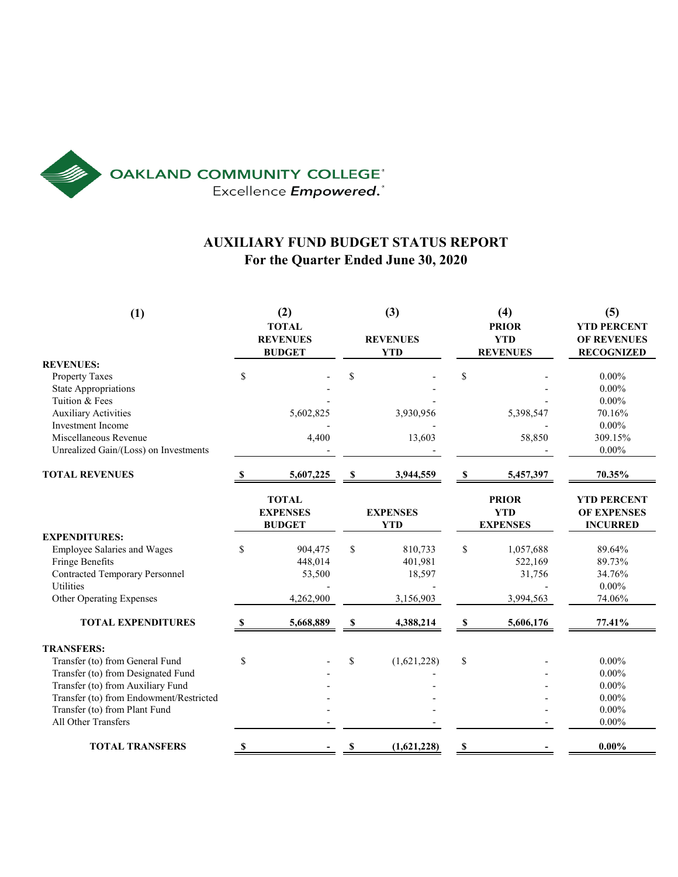

# **AUXILIARY FUND BUDGET STATUS REPORT For the Quarter Ended June 30, 2020**

| (1)                                               |          | (2)<br><b>TOTAL</b><br><b>REVENUES</b><br><b>BUDGET</b> |             | (3)<br><b>REVENUES</b><br><b>YTD</b> | (4)<br><b>PRIOR</b><br><b>YTD</b><br><b>REVENUES</b> |           | (5)<br><b>YTD PERCENT</b><br>OF REVENUES<br><b>RECOGNIZED</b> |
|---------------------------------------------------|----------|---------------------------------------------------------|-------------|--------------------------------------|------------------------------------------------------|-----------|---------------------------------------------------------------|
| <b>REVENUES:</b>                                  |          |                                                         |             |                                      |                                                      |           |                                                               |
| Property Taxes                                    | \$       |                                                         | \$          |                                      | \$                                                   |           | $0.00\%$                                                      |
| <b>State Appropriations</b>                       |          |                                                         |             |                                      |                                                      |           | $0.00\%$                                                      |
| Tuition & Fees                                    |          |                                                         |             |                                      |                                                      |           | $0.00\%$                                                      |
| <b>Auxiliary Activities</b>                       |          | 5,602,825                                               |             | 3,930,956                            |                                                      | 5,398,547 | 70.16%                                                        |
| <b>Investment Income</b><br>Miscellaneous Revenue |          |                                                         |             |                                      |                                                      |           | $0.00\%$                                                      |
|                                                   |          | 4,400                                                   |             | 13,603                               |                                                      | 58,850    | 309.15%<br>$0.00\%$                                           |
| Unrealized Gain/(Loss) on Investments             |          |                                                         |             |                                      |                                                      |           |                                                               |
| <b>TOTAL REVENUES</b>                             |          | 5,607,225                                               | \$          | 3,944,559                            | \$                                                   | 5,457,397 | 70.35%                                                        |
|                                                   |          | <b>TOTAL</b><br><b>EXPENSES</b><br><b>BUDGET</b>        |             | <b>EXPENSES</b><br><b>YTD</b>        | <b>PRIOR</b><br><b>YTD</b><br><b>EXPENSES</b>        |           | <b>YTD PERCENT</b><br><b>OF EXPENSES</b><br><b>INCURRED</b>   |
| <b>EXPENDITURES:</b>                              |          |                                                         |             |                                      |                                                      |           |                                                               |
| <b>Employee Salaries and Wages</b>                | \$       | 904,475                                                 | $\mathbf S$ | 810,733                              | \$                                                   | 1,057,688 | 89.64%                                                        |
| Fringe Benefits                                   |          | 448,014                                                 |             | 401,981                              |                                                      | 522,169   | 89.73%                                                        |
| <b>Contracted Temporary Personnel</b>             |          | 53,500                                                  |             | 18,597                               |                                                      | 31,756    | 34.76%                                                        |
| <b>Utilities</b>                                  |          |                                                         |             |                                      |                                                      |           | $0.00\%$                                                      |
| <b>Other Operating Expenses</b>                   |          | 4,262,900                                               |             | 3,156,903                            |                                                      | 3,994,563 | 74.06%                                                        |
| <b>TOTAL EXPENDITURES</b>                         | <b>S</b> | 5,668,889                                               | S           | 4,388,214                            | $\mathbf{s}$                                         | 5,606,176 | 77.41%                                                        |
| <b>TRANSFERS:</b>                                 |          |                                                         |             |                                      |                                                      |           |                                                               |
| Transfer (to) from General Fund                   | \$       |                                                         | \$          | (1,621,228)                          | \$                                                   |           | $0.00\%$                                                      |
| Transfer (to) from Designated Fund                |          |                                                         |             |                                      |                                                      |           | $0.00\%$                                                      |
| Transfer (to) from Auxiliary Fund                 |          |                                                         |             |                                      |                                                      |           | $0.00\%$                                                      |
| Transfer (to) from Endowment/Restricted           |          |                                                         |             |                                      |                                                      |           | $0.00\%$                                                      |
| Transfer (to) from Plant Fund                     |          |                                                         |             |                                      |                                                      |           | $0.00\%$                                                      |
| All Other Transfers                               |          |                                                         |             |                                      |                                                      |           | $0.00\%$                                                      |
| <b>TOTAL TRANSFERS</b>                            | \$       |                                                         | \$          | (1,621,228)                          | S                                                    |           | $0.00\%$                                                      |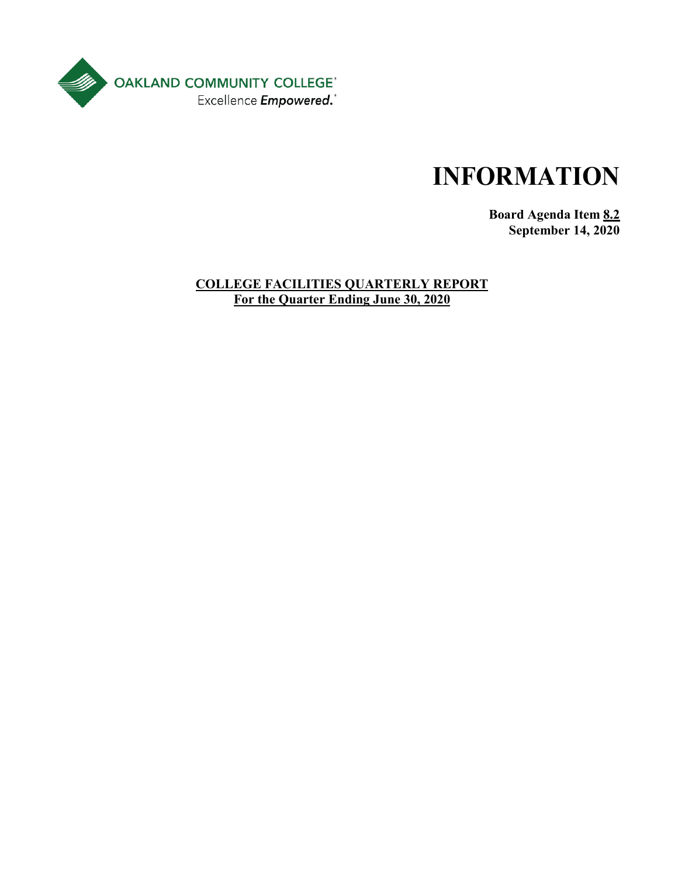

**Board Agenda Item 8.2 September 14, 2020**

# **COLLEGE FACILITIES QUARTERLY REPORT For the Quarter Ending June 30, 2020**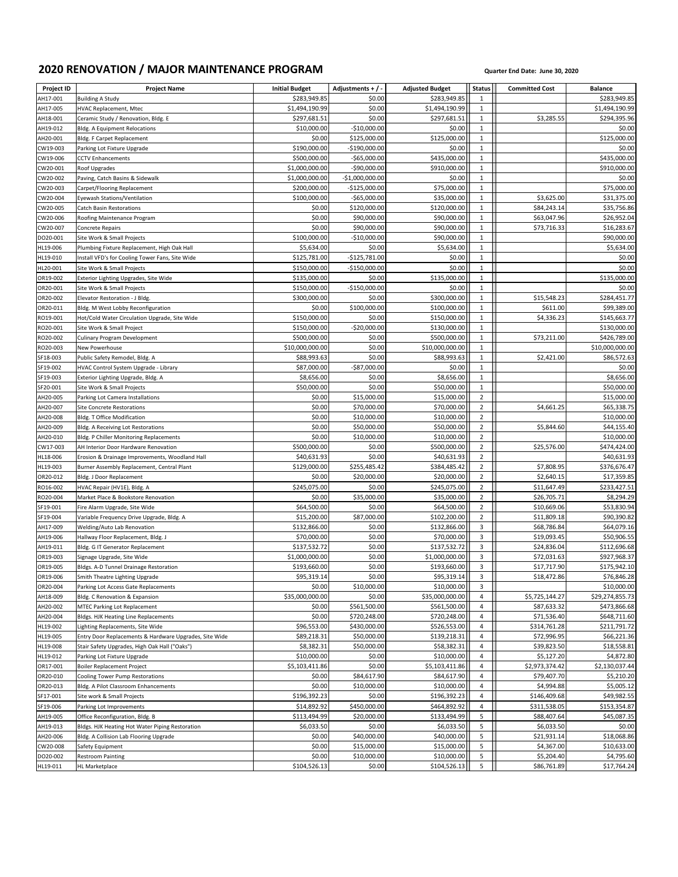# **2020 RENOVATION / MAJOR MAINTENANCE PROGRAM Quarter End Date: June 30, 2020**

| Project ID           | <b>Project Name</b>                                                    | <b>Initial Budget</b> | Adjustments + / -           | <b>Adjusted Budget</b>      | <b>Status</b>                | <b>Committed Cost</b>      | <b>Balance</b>             |
|----------------------|------------------------------------------------------------------------|-----------------------|-----------------------------|-----------------------------|------------------------------|----------------------------|----------------------------|
| AH17-001             | <b>Building A Study</b>                                                | \$283,949.85          | \$0.00                      | \$283,949.85                | 1                            |                            | \$283,949.85               |
| AH17-005             | HVAC Replacement, Mtec                                                 | \$1,494,190.99        | \$0.00                      | \$1,494,190.99              | $\mathbf{1}$                 |                            | \$1,494,190.99             |
| AH18-001             | Ceramic Study / Renovation, Bldg. E                                    | \$297,681.51          | \$0.00                      | \$297,681.51                | 1                            | \$3,285.55                 | \$294,395.96               |
| AH19-012             | Bldg. A Equipment Relocations                                          | \$10,000.00           | $-$10,000.00$               | \$0.00                      | $\mathbf{1}$                 |                            | \$0.00                     |
| AH20-001             | Bldg. F Carpet Replacement                                             | \$0.00                | \$125,000.00                | \$125,000.00                | $\mathbf{1}$                 |                            | \$125,000.00               |
| CW19-003             | Parking Lot Fixture Upgrade                                            | \$190,000.00          | $-$190,000.00$              | \$0.00                      | $\,1\,$                      |                            | \$0.00                     |
| CW19-006             | <b>CCTV Enhancements</b>                                               | \$500,000.00          | $-$65,000.00$               | \$435,000.00                | $\mathbf{1}$                 |                            | \$435,000.00               |
| CW20-001             | Roof Upgrades                                                          | \$1,000,000.00        | -\$90,000.00                | \$910,000.00                | $\mathbf{1}$                 |                            | \$910,000.00               |
| CW20-002             | Paving, Catch Basins & Sidewalk                                        | \$1,000,000.00        | -\$1,000,000.00             | \$0.00                      | $\mathbf{1}$                 |                            | \$0.00                     |
| CW20-003             | Carpet/Flooring Replacement                                            | \$200,000.00          | $-$125,000.00$              | \$75,000.00                 | $\mathbf{1}$                 |                            | \$75,000.00<br>\$31,375.00 |
| CW20-004             | Eyewash Stations/Ventilation                                           | \$100,000.00          | $-565,000.00$               | \$35,000.00                 | $\mathbf{1}$<br>$\mathbf{1}$ | \$3,625.00                 |                            |
| CW20-005<br>CW20-006 | <b>Catch Basin Restorations</b>                                        | \$0.00<br>\$0.00      | \$120,000.00<br>\$90,000.00 | \$120,000.00<br>\$90,000.00 | $\mathbf{1}$                 | \$84,243.14<br>\$63,047.96 | \$35,756.86<br>\$26,952.04 |
| CW20-007             | Roofing Maintenance Program<br><b>Concrete Repairs</b>                 | \$0.00                | \$90,000.00                 | \$90,000.00                 | $\mathbf{1}$                 | \$73,716.33                | \$16,283.67                |
| DO20-001             | Site Work & Small Projects                                             | \$100,000.00          | $-$10,000.00$               | \$90,000.00                 | $\mathbf{1}$                 |                            | \$90,000.00                |
| HL19-006             | Plumbing Fixture Replacement, High Oak Hall                            | \$5,634.00            | \$0.00                      | \$5,634.00                  | $\mathbf{1}$                 |                            | \$5,634.00                 |
| HL19-010             | Install VFD's for Cooling Tower Fans, Site Wide                        | \$125,781.00          | $-$125,781.00$              | \$0.00                      | $\mathbf{1}$                 |                            | \$0.00                     |
| HL20-001             | Site Work & Small Projects                                             | \$150,000.00          | $-$150,000.00$              | \$0.00                      | $\mathbf{1}$                 |                            | \$0.00                     |
| OR19-002             | Exterior Lighting Upgrades, Site Wide                                  | \$135,000.00          | \$0.00                      | \$135,000.00                | $\mathbf{1}$                 |                            | \$135,000.00               |
| OR20-001             | Site Work & Small Projects                                             | \$150,000.00          | $-$150,000.00$              | \$0.00                      | $\,1\,$                      |                            | \$0.00                     |
| OR20-002             | Elevator Restoration - J Bldg.                                         | \$300,000.00          | \$0.00                      | \$300,000.00                | $\mathbf{1}$                 | \$15,548.23                | \$284,451.77               |
| OR20-011             | Bldg. M West Lobby Reconfiguration                                     | \$0.00                | \$100,000.00                | \$100,000.00                | $\mathbf{1}$                 | \$611.00                   | \$99,389.00                |
| RO19-001             | Hot/Cold Water Circulation Upgrade, Site Wide                          | \$150,000.00          | \$0.00                      | \$150,000.00                | $\mathbf{1}$                 | \$4,336.23                 | \$145,663.77               |
| RO20-001             | Site Work & Small Project                                              | \$150,000.00          | $-$20,000.00$               | \$130,000.00                | $\mathbf 1$                  |                            | \$130,000.00               |
| RO20-002             | Culinary Program Development                                           | \$500,000.00          | \$0.00                      | \$500,000.00                | $\mathbf 1$                  | \$73,211.00                | \$426,789.00               |
| RO20-003             | New Powerhouse                                                         | \$10,000,000.00       | \$0.00                      | \$10,000,000.00             | $\,1\,$                      |                            | \$10,000,000.00            |
| SF18-003             | Public Safety Remodel, Bldg. A                                         | \$88,993.63           | \$0.00                      | \$88,993.63                 | $\mathbf{1}$                 | \$2,421.00                 | \$86,572.63                |
| SF19-002             | HVAC Control System Upgrade - Library                                  | \$87,000.00           | -\$87,000.00                | \$0.00                      | $\,1\,$                      |                            | \$0.00                     |
| SF19-003             | Exterior Lighting Upgrade, Bldg. A                                     | \$8,656.00            | \$0.00                      | \$8,656.00                  | $\mathbf 1$                  |                            | \$8,656.00                 |
| SF20-001             | Site Work & Small Projects                                             | \$50,000.00<br>\$0.00 | \$0.00                      | \$50,000.00<br>\$15,000.00  | $\,1\,$<br>$\overline{2}$    |                            | \$50,000.00<br>\$15,000.00 |
| AH20-005<br>AH20-007 | Parking Lot Camera Installations<br>Site Concrete Restorations         | \$0.00                | \$15,000.00<br>\$70,000.00  | \$70,000.00                 | $\sqrt{2}$                   | \$4,661.25                 | \$65,338.75                |
| AH20-008             | Bldg. T Office Modification                                            | \$0.00                | \$10,000.00                 | \$10,000.00                 | $\overline{2}$               |                            | \$10,000.00                |
| AH20-009             | Bldg. A Receiving Lot Restorations                                     | \$0.00                | \$50,000.00                 | \$50,000.00                 | $\mathbf 2$                  | \$5,844.60                 | \$44,155.40                |
| AH20-010             | Bldg. P Chiller Monitoring Replacements                                | \$0.00                | \$10,000.00                 | \$10,000.00                 | $\overline{2}$               |                            | \$10,000.00                |
| CW17-003             | AH Interior Door Hardware Renovation                                   | \$500,000.00          | \$0.00                      | \$500,000.00                | $\sqrt{2}$                   | \$25,576.00                | \$474,424.00               |
| HL18-006             | Erosion & Drainage Improvements, Woodland Hall                         | \$40,631.93           | \$0.00                      | \$40,631.93                 | $\overline{2}$               |                            | \$40,631.93                |
| HL19-003             | Burner Assembly Replacement, Central Plant                             | \$129,000.00          | \$255,485.42                | \$384,485.42                | $\mathbf 2$                  | \$7,808.95                 | \$376,676.47               |
| OR20-012             | Bldg. J Door Replacement                                               | \$0.00                | \$20,000.00                 | \$20,000.00                 | $\overline{2}$               | \$2,640.15                 | \$17,359.85                |
| RO16-002             | HVAC Repair (HV1E), Bldg. A                                            | \$245,075.00          | \$0.00                      | \$245,075.00                | $\sqrt{2}$                   | \$11,647.49                | \$233,427.51               |
| RO20-004             | Market Place & Bookstore Renovation                                    | \$0.00                | \$35,000.00                 | \$35,000.00                 | $\overline{2}$               | \$26,705.71                | \$8,294.29                 |
| SF19-001             | Fire Alarm Upgrade, Site Wide                                          | \$64,500.00           | \$0.00                      | \$64,500.00                 | $\sqrt{2}$                   | \$10,669.06                | \$53,830.94                |
| SF19-004             | Variable Frequency Drive Upgrade, Bldg. A                              | \$15,200.00           | \$87,000.00                 | \$102,200.00                | $\overline{2}$               | \$11,809.18                | \$90,390.82                |
| AH17-009             | Welding/Auto Lab Renovation                                            | \$132,866.00          | \$0.00                      | \$132,866.00                | $\overline{3}$               | \$68,786.84                | \$64,079.16                |
| AH19-006             | Hallway Floor Replacement, Bldg. J                                     | \$70,000.00           | \$0.00                      | \$70,000.00                 | 3                            | \$19,093.45                | \$50,906.55                |
| AH19-011             | Bldg. G IT Generator Replacement                                       | \$137,532.72          | \$0.00                      | \$137,532.72                | $\overline{3}$               | \$24,836.04                | \$112,696.68               |
| OR19-003             | Signage Upgrade, Site Wide                                             | \$1,000,000.00        | \$0.00                      | \$1,000,000.00              | 3                            | \$72,031.63                | \$927,968.37               |
| OR19-005             | Bldgs. A-D Tunnel Drainage Restoration                                 | \$193,660.00          | \$0.00                      | \$193,660.00                | 3                            | \$17,717.90                | \$175,942.10               |
| OR19-006<br>OR20-004 | Smith Theatre Lighting Upgrade<br>Parking Lot Access Gate Replacements | \$95,319.14<br>\$0.00 | \$0.00<br>\$10,000.00       | \$95,319.14<br>\$10,000.00  | 3<br>3                       | \$18,472.86                | \$76,846.28<br>\$10,000.00 |
| AH18-009             | Bldg. C Renovation & Expansion                                         | \$35,000,000.00       | \$0.00                      | \$35,000,000.00             | 4                            | \$5,725,144.27             | \$29,274,855.73            |
| AH20-002             | MTEC Parking Lot Replacement                                           | \$0.00                | \$561,500.00                | \$561,500.00                | 4                            | \$87,633.32                | \$473,866.68               |
| AH20-004             | Bldgs. HJK Heating Line Replacements                                   | \$0.00                | \$720,248.00                | \$720,248.00                | 4                            | \$71,536.40                | \$648,711.60               |
| HL19-002             | Lighting Replacements, Site Wide                                       | \$96,553.00           | \$430,000.00                | \$526,553.00                | 4                            | \$314,761.28               | \$211,791.72               |
| HL19-005             | Entry Door Replacements & Hardware Upgrades, Site Wide                 | \$89,218.31           | \$50,000.00                 | \$139,218.31                | 4                            | \$72,996.95                | \$66,221.36                |
| HL19-008             | Stair Safety Upgrades, High Oak Hall ("Oaks")                          | \$8,382.31            | \$50,000.00                 | \$58,382.31                 | 4                            | \$39,823.50                | \$18,558.81                |
| HL19-012             | Parking Lot Fixture Upgrade                                            | \$10,000.00           | \$0.00                      | \$10,000.00                 | 4                            | \$5,127.20                 | \$4,872.80                 |
| OR17-001             | <b>Boiler Replacement Project</b>                                      | \$5,103,411.86        | \$0.00                      | \$5,103,411.86              | 4                            | \$2,973,374.42             | \$2,130,037.44             |
| OR20-010             | Cooling Tower Pump Restorations                                        | \$0.00                | \$84,617.90                 | \$84,617.90                 | 4                            | \$79,407.70                | \$5,210.20                 |
| OR20-013             | Bldg. A Pilot Classroom Enhancements                                   | \$0.00                | \$10,000.00                 | \$10,000.00                 | 4                            | \$4,994.88                 | \$5,005.12                 |
| SF17-001             | Site work & Small Projects                                             | \$196,392.23          | \$0.00                      | \$196,392.23                | 4                            | \$146,409.68               | \$49,982.55                |
| SF19-006             | Parking Lot Improvements                                               | \$14,892.92           | \$450,000.00                | \$464,892.92                | 4                            | \$311,538.05               | \$153,354.87               |
| AH19-005             | Office Reconfiguration, Bldg. B                                        | \$113,494.99          | \$20,000.00                 | \$133,494.99                | 5                            | \$88,407.64                | \$45,087.35                |
| AH19-013             | Bldgs. HJK Heating Hot Water Piping Restoration                        | \$6,033.50            | \$0.00                      | \$6,033.50                  | 5                            | \$6,033.50                 | \$0.00                     |
| AH20-006             | Bldg. A Collision Lab Flooring Upgrade                                 | \$0.00<br>\$0.00      | \$40,000.00<br>\$15,000.00  | \$40,000.00                 | 5<br>5                       | \$21,931.14                | \$18,068.86<br>\$10,633.00 |
| CW20-008<br>DO20-002 | Safety Equipment<br>Restroom Painting                                  | \$0.00                | \$10,000.00                 | \$15,000.00<br>\$10,000.00  | 5                            | \$4,367.00<br>\$5,204.40   | \$4,795.60                 |
| HL19-011             | HL Marketplace                                                         | \$104,526.13          | \$0.00                      | \$104,526.13                | 5                            | \$86,761.89                | \$17,764.24                |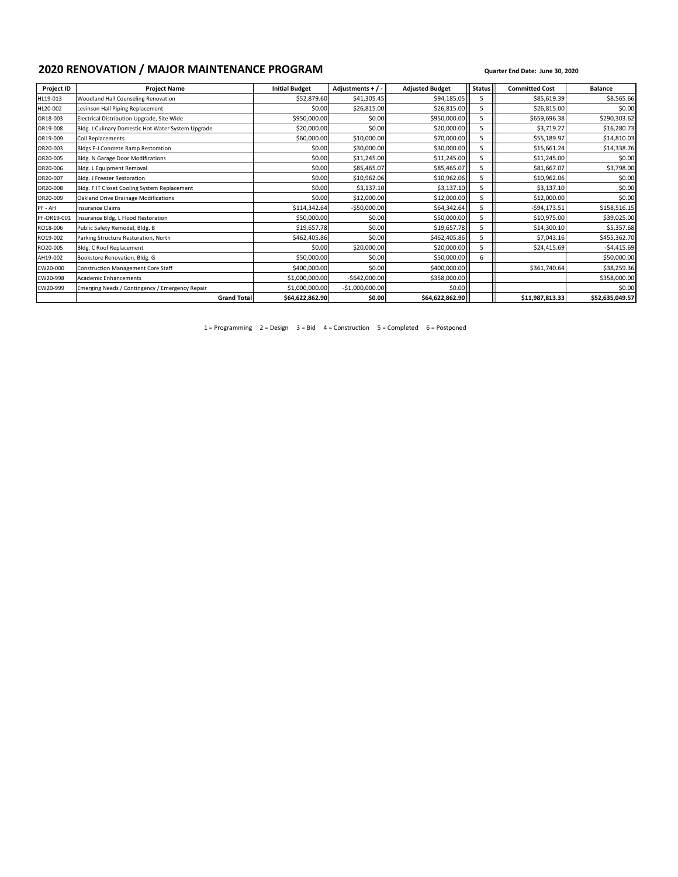# **2020 RENOVATION / MAJOR MAINTENANCE PROGRAM Quarter End Date: June 30, 2020**

| <b>Project ID</b> | <b>Project Name</b>                                | <b>Initial Budget</b> | Adjustments + $/$ - | <b>Adjusted Budget</b> | <b>Status</b> | <b>Committed Cost</b> | <b>Balance</b>  |
|-------------------|----------------------------------------------------|-----------------------|---------------------|------------------------|---------------|-----------------------|-----------------|
| HL19-013          | Woodland Hall Counseling Renovation                | \$52,879.60           | \$41,305.45         | \$94,185.05            | 5             | \$85,619.39           | \$8,565.66      |
| HL20-002          | Levinson Hall Piping Replacement                   | \$0.00                | \$26,815.00         | \$26,815.00            | 5             | \$26,815.00           | \$0.00          |
| OR18-003          | Electrical Distribution Upgrade, Site Wide         | \$950,000.00          | \$0.00              | \$950,000.00           | 5             | \$659,696.38          | \$290,303.62    |
| OR19-008          | Bldg. J Culinary Domestic Hot Water System Upgrade | \$20,000.00           | \$0.00              | \$20,000.00            | 5             | \$3,719.27            | \$16,280.73     |
| OR19-009          | Coil Replacements                                  | \$60,000.00           | \$10,000.00         | \$70,000.00            |               | \$55,189.97           | \$14,810.03     |
| OR20-003          | <b>Bldgs F-J Concrete Ramp Restoration</b>         | \$0.00                | \$30,000.00         | \$30,000.00            | 5             | \$15,661.24           | \$14,338.76     |
| OR20-005          | Bldg. N Garage Door Modifications                  | \$0.00                | \$11,245.00         | \$11,245.00            | 5             | \$11,245.00           | \$0.00          |
| OR20-006          | Bldg. L Equipment Removal                          | \$0.00                | \$85,465.07         | \$85,465.07            | 5             | \$81,667.07           | \$3,798.00      |
| OR20-007          | Bldg. J Freezer Restoration                        | \$0.00                | \$10,962.06         | \$10,962.06            | 5             | \$10,962.06           | \$0.00          |
| OR20-008          | Bldg. F IT Closet Cooling System Replacement       | \$0.00                | \$3,137.10          | \$3,137.10             | 5             | \$3,137.10            | \$0.00          |
| OR20-009          | Oakland Drive Drainage Modifications               | \$0.00                | \$12,000.00         | \$12,000.00            |               | \$12,000.00           | \$0.00          |
| PF - AH           | <b>Insurance Claims</b>                            | \$114,342.64          | $-$50,000.00$       | \$64,342.64            | 5             | $-594, 173.51$        | \$158,516.15    |
| PF-OR19-001       | Insurance Bldg. L Flood Restoration                | \$50,000.00           | \$0.00              | \$50,000.00            | 5             | \$10,975.00           | \$39,025.00     |
| RO18-006          | Public Safety Remodel, Bldg. B                     | \$19,657.78           | \$0.00              | \$19,657.78            | 5             | \$14,300.10           | \$5,357.68      |
| RO19-002          | Parking Structure Restoration, North               | \$462,405.86          | \$0.00              | \$462,405.86           | 5             | \$7,043.16            | \$455,362.70    |
| RO20-005          | Bldg. C Roof Replacement                           | \$0.00                | \$20,000.00         | \$20,000.00            |               | \$24,415.69           | $-54,415.69$    |
| AH19-002          | Bookstore Renovation, Bldg. G                      | \$50,000.00           | \$0.00              | \$50,000.00            | 6             |                       | \$50,000.00     |
| CW20-000          | <b>Construction Management Core Staff</b>          | \$400,000.00          | \$0.00              | \$400,000.00           |               | \$361,740.64          | \$38,259.36     |
| CW20-998          | <b>Academic Enhancements</b>                       | \$1,000,000.00        | $-$642,000.00$      | \$358,000.00           |               |                       | \$358,000.00    |
| CW20-999          | Emerging Needs / Contingency / Emergency Repair    | \$1,000,000.00        | $-$1,000,000.00$    | \$0.00                 |               |                       | \$0.00          |
|                   | <b>Grand Total</b>                                 | \$64,622,862.90       | \$0.00              | \$64,622,862.90        |               | \$11,987,813.33       | \$52,635,049.57 |

1 = Programming 2 = Design 3 = Bid 4 = Construction 5 = Completed 6 = Postponed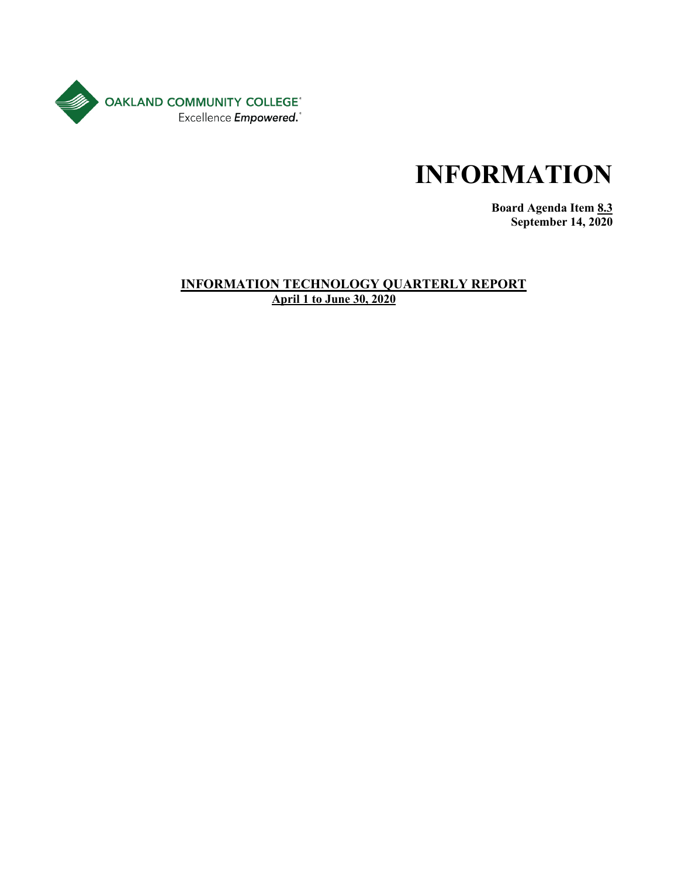

**Board Agenda Item 8.3 September 14, 2020**

### **INFORMATION TECHNOLOGY QUARTERLY REPORT April 1 to June 30, 2020**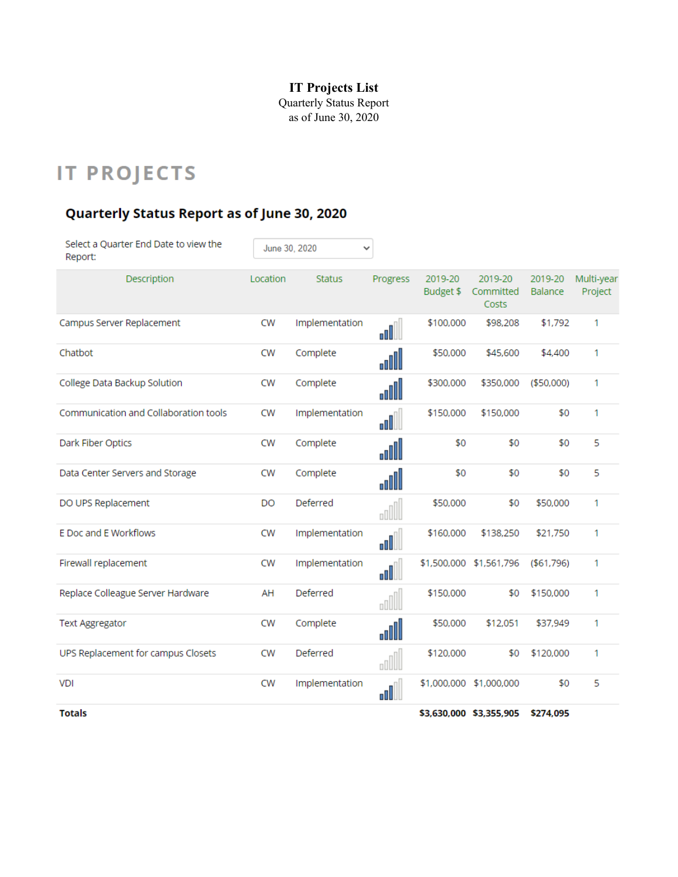# **IT Projects List**

Quarterly Status Report as of June 30, 2020

# **IT PROJECTS**

# Quarterly Status Report as of June 30, 2020

| Select a Quarter End Date to view the<br>Report: |           | June 30, 2020<br>٧ |                                                                                                                                                                                                                                                                                                                                                     |                      |                               |                    |                       |
|--------------------------------------------------|-----------|--------------------|-----------------------------------------------------------------------------------------------------------------------------------------------------------------------------------------------------------------------------------------------------------------------------------------------------------------------------------------------------|----------------------|-------------------------------|--------------------|-----------------------|
| Description                                      | Location  | <b>Status</b>      | Progress                                                                                                                                                                                                                                                                                                                                            | 2019-20<br>Budget \$ | 2019-20<br>Committed<br>Costs | 2019-20<br>Balance | Multi-year<br>Project |
| Campus Server Replacement                        | <b>CW</b> | Implementation     | ull                                                                                                                                                                                                                                                                                                                                                 | \$100,000            | \$98,208                      | \$1,792            | 1                     |
| Chatbot                                          | <b>CW</b> | Complete           | lllo <sub>o</sub>                                                                                                                                                                                                                                                                                                                                   | \$50,000             | \$45,600                      | \$4,400            | 1                     |
| College Data Backup Solution                     | <b>CW</b> | Complete           | ullo                                                                                                                                                                                                                                                                                                                                                | \$300,000            | \$350,000                     | ( \$50,000)        | 1                     |
| Communication and Collaboration tools            | <b>CW</b> | Implementation     | ا اله                                                                                                                                                                                                                                                                                                                                               | \$150,000            | \$150,000                     | \$0                | 1                     |
| Dark Fiber Optics                                | <b>CW</b> | Complete           | alll                                                                                                                                                                                                                                                                                                                                                | \$0                  | \$0                           | \$0                | 5                     |
| Data Center Servers and Storage                  | <b>CW</b> | Complete           | ullo                                                                                                                                                                                                                                                                                                                                                | \$0                  | \$0                           | \$0                | 5                     |
| DO UPS Replacement                               | <b>DO</b> | Deferred           | oOU.                                                                                                                                                                                                                                                                                                                                                | \$50,000             | \$0                           | \$50,000           | 1                     |
| E Doc and E Workflows                            | <b>CW</b> | Implementation     | ullo.                                                                                                                                                                                                                                                                                                                                               | \$160,000            | \$138,250                     | \$21,750           | 1                     |
| Firewall replacement                             | <b>CW</b> | Implementation     | nll                                                                                                                                                                                                                                                                                                                                                 |                      | \$1,500,000 \$1,561,796       | ( \$61,796)        | 1                     |
| Replace Colleague Server Hardware                | AH        | Deferred           | oll l                                                                                                                                                                                                                                                                                                                                               | \$150,000            | \$0                           | \$150,000          | 1                     |
| <b>Text Aggregator</b>                           | <b>CW</b> | Complete           | ullo                                                                                                                                                                                                                                                                                                                                                | \$50,000             | \$12,051                      | \$37,949           | 1                     |
| UPS Replacement for campus Closets               | <b>CW</b> | Deferred           | $\begin{picture}(20,20) \put(0,0){\line(1,0){10}} \put(15,0){\line(1,0){10}} \put(15,0){\line(1,0){10}} \put(15,0){\line(1,0){10}} \put(15,0){\line(1,0){10}} \put(15,0){\line(1,0){10}} \put(15,0){\line(1,0){10}} \put(15,0){\line(1,0){10}} \put(15,0){\line(1,0){10}} \put(15,0){\line(1,0){10}} \put(15,0){\line(1,0){10}} \put(15,0){\line(1$ | \$120,000            | \$0                           | \$120,000          | 1                     |
| <b>VDI</b>                                       | <b>CW</b> | Implementation     | ا اله                                                                                                                                                                                                                                                                                                                                               |                      | \$1,000,000 \$1,000,000       | \$0                | 5                     |
| Totale                                           |           |                    |                                                                                                                                                                                                                                                                                                                                                     |                      | \$2,620,000 \$2,255,005       | <b>COZA NOE</b>    |                       |

Totals

\$3,630,000 \$3,355,905 \$274,095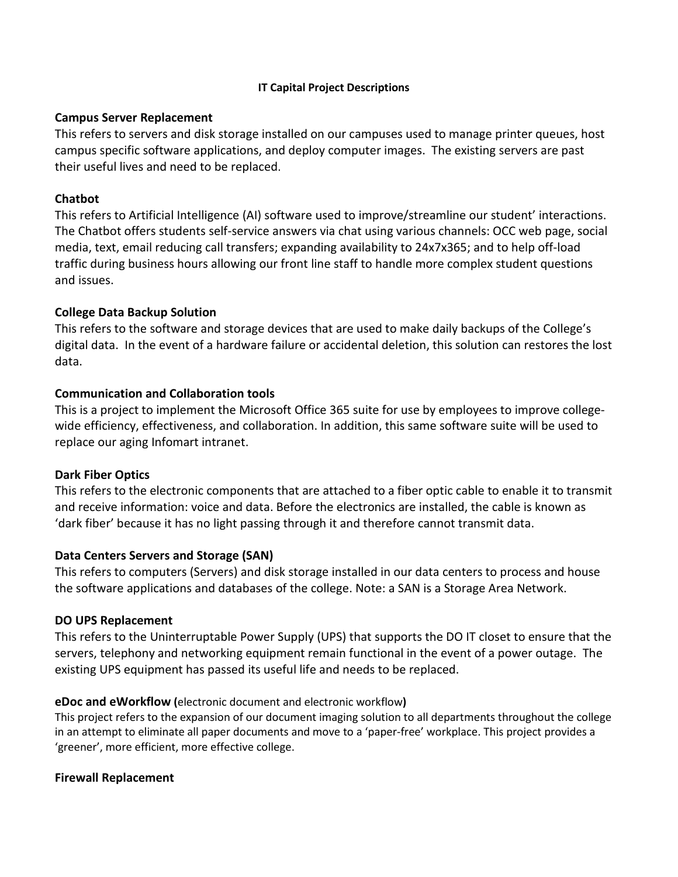#### **IT Capital Project Descriptions**

#### **Campus Server Replacement**

This refers to servers and disk storage installed on our campuses used to manage printer queues, host campus specific software applications, and deploy computer images. The existing servers are past their useful lives and need to be replaced.

#### **Chatbot**

This refers to Artificial Intelligence (AI) software used to improve/streamline our student' interactions. The Chatbot offers students self-service answers via chat using various channels: OCC web page, social media, text, email reducing call transfers; expanding availability to 24x7x365; and to help off-load traffic during business hours allowing our front line staff to handle more complex student questions and issues.

#### **College Data Backup Solution**

This refers to the software and storage devices that are used to make daily backups of the College's digital data. In the event of a hardware failure or accidental deletion, this solution can restores the lost data.

### **Communication and Collaboration tools**

This is a project to implement the Microsoft Office 365 suite for use by employees to improve collegewide efficiency, effectiveness, and collaboration. In addition, this same software suite will be used to replace our aging Infomart intranet.

#### **Dark Fiber Optics**

This refers to the electronic components that are attached to a fiber optic cable to enable it to transmit and receive information: voice and data. Before the electronics are installed, the cable is known as 'dark fiber' because it has no light passing through it and therefore cannot transmit data.

#### **Data Centers Servers and Storage (SAN)**

This refers to computers (Servers) and disk storage installed in our data centers to process and house the software applications and databases of the college. Note: a SAN is a Storage Area Network.

#### **DO UPS Replacement**

This refers to the Uninterruptable Power Supply (UPS) that supports the DO IT closet to ensure that the servers, telephony and networking equipment remain functional in the event of a power outage. The existing UPS equipment has passed its useful life and needs to be replaced.

#### **eDoc and eWorkflow (**electronic document and electronic workflow**)**

This project refers to the expansion of our document imaging solution to all departments throughout the college in an attempt to eliminate all paper documents and move to a 'paper-free' workplace. This project provides a 'greener', more efficient, more effective college.

#### **Firewall Replacement**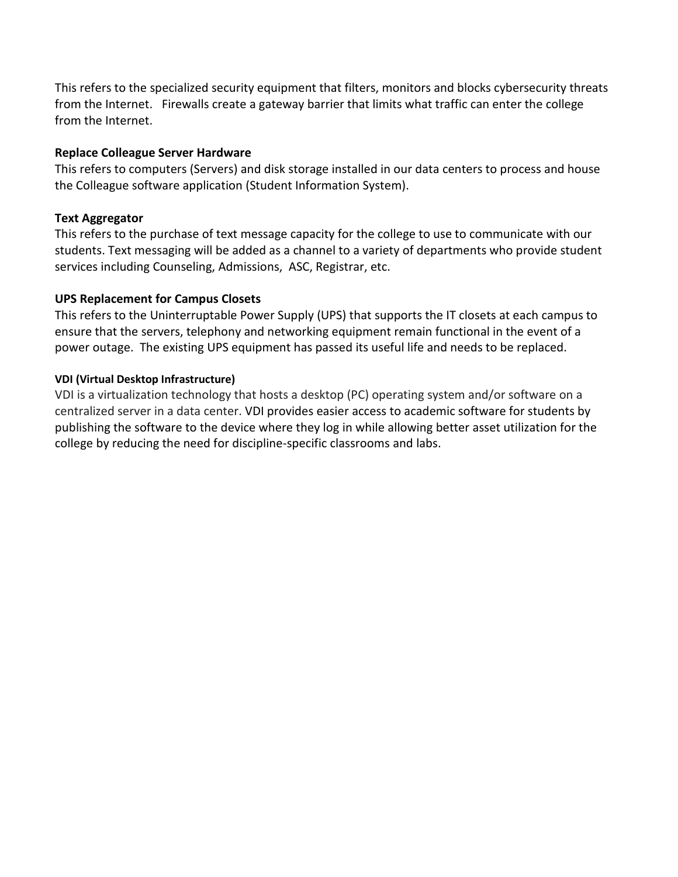This refers to the specialized security equipment that filters, monitors and blocks cybersecurity threats from the Internet. Firewalls create a gateway barrier that limits what traffic can enter the college from the Internet.

#### **Replace Colleague Server Hardware**

This refers to computers (Servers) and disk storage installed in our data centers to process and house the Colleague software application (Student Information System).

### **Text Aggregator**

This refers to the purchase of text message capacity for the college to use to communicate with our students. Text messaging will be added as a channel to a variety of departments who provide student services including Counseling, Admissions, ASC, Registrar, etc.

### **UPS Replacement for Campus Closets**

This refers to the Uninterruptable Power Supply (UPS) that supports the IT closets at each campus to ensure that the servers, telephony and networking equipment remain functional in the event of a power outage. The existing UPS equipment has passed its useful life and needs to be replaced.

### **VDI (Virtual Desktop Infrastructure)**

VDI is a virtualization technology that hosts a desktop (PC) operating system and/or software on a centralized server in a data center. VDI provides easier access to academic software for students by publishing the software to the device where they log in while allowing better asset utilization for the college by reducing the need for discipline-specific classrooms and labs.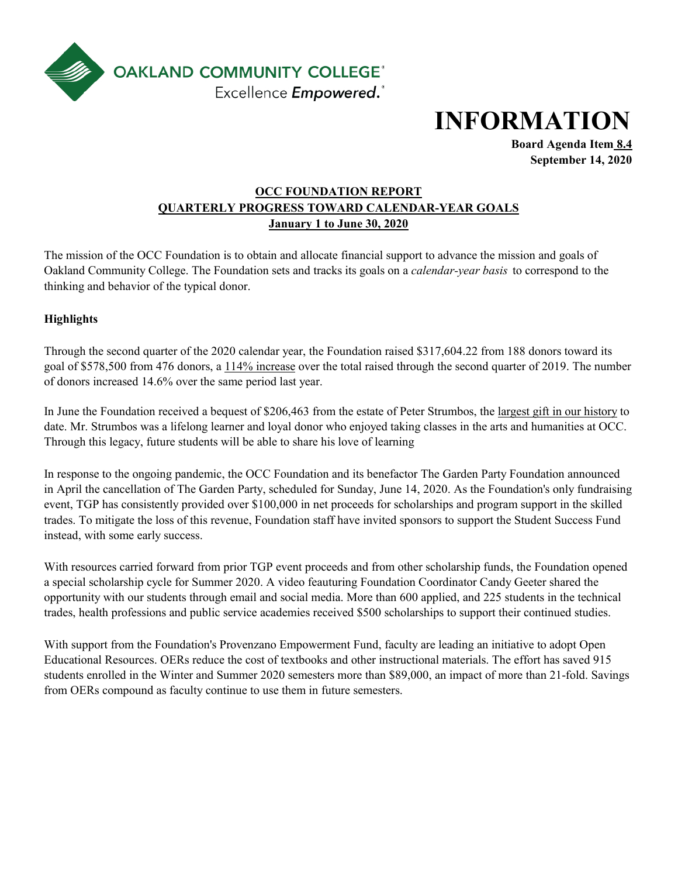

**Board Agenda Item 8.4 September 14, 2020**

# **January 1 to June 30, 2020 OCC FOUNDATION REPORT QUARTERLY PROGRESS TOWARD CALENDAR-YEAR GOALS**

The mission of the OCC Foundation is to obtain and allocate financial support to advance the mission and goals of Oakland Community College. The Foundation sets and tracks its goals on a *calendar-year basis* to correspond to the thinking and behavior of the typical donor.

### **Highlights**

Through the second quarter of the 2020 calendar year, the Foundation raised \$317,604.22 from 188 donors toward its goal of \$578,500 from 476 donors, a 114% increase over the total raised through the second quarter of 2019. The number of donors increased 14.6% over the same period last year.

In June the Foundation received a bequest of \$206,463 from the estate of Peter Strumbos, the largest gift in our history to date. Mr. Strumbos was a lifelong learner and loyal donor who enjoyed taking classes in the arts and humanities at OCC. Through this legacy, future students will be able to share his love of learning

In response to the ongoing pandemic, the OCC Foundation and its benefactor The Garden Party Foundation announced in April the cancellation of The Garden Party, scheduled for Sunday, June 14, 2020. As the Foundation's only fundraising event, TGP has consistently provided over \$100,000 in net proceeds for scholarships and program support in the skilled trades. To mitigate the loss of this revenue, Foundation staff have invited sponsors to support the Student Success Fund instead, with some early success.

With resources carried forward from prior TGP event proceeds and from other scholarship funds, the Foundation opened a special scholarship cycle for Summer 2020. A video feauturing Foundation Coordinator Candy Geeter shared the opportunity with our students through email and social media. More than 600 applied, and 225 students in the technical trades, health professions and public service academies received \$500 scholarships to support their continued studies.

With support from the Foundation's Provenzano Empowerment Fund, faculty are leading an initiative to adopt Open Educational Resources. OERs reduce the cost of textbooks and other instructional materials. The effort has saved 915 students enrolled in the Winter and Summer 2020 semesters more than \$89,000, an impact of more than 21-fold. Savings from OERs compound as faculty continue to use them in future semesters.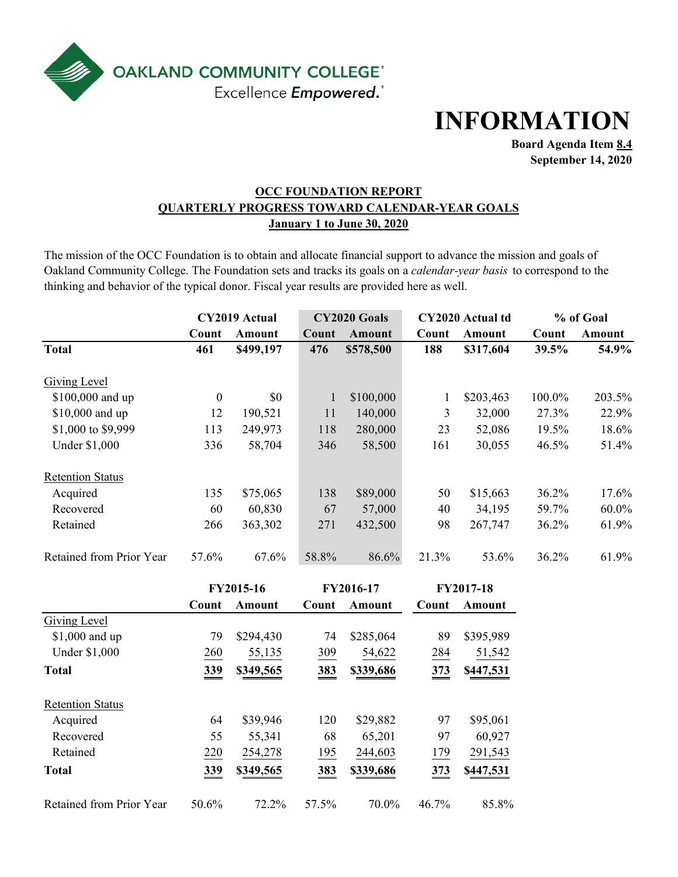

**Board Agenda Item 8.4 September 14, 2020**

### **OCC FOUNDATION REPORT January 1 to June 30, 2020 QUARTERLY PROGRESS TOWARD CALENDAR-YEAR GOALS**

The mission of the OCC Foundation is to obtain and allocate financial support to advance the mission and goals of Oakland Community College. The Foundation sets and tracks its goals on a *calendar-year basis* to correspond to the thinking and behavior of the typical donor. Fiscal year results are provided here as well.

|                          |                  | CY2019 Actual |              | CY2020 Goals  |              | CY2020 Actual td | % of Goal |          |
|--------------------------|------------------|---------------|--------------|---------------|--------------|------------------|-----------|----------|
|                          | Count            | Amount        | Count        | <b>Amount</b> | Count        | Amount           | Count     | Amount   |
| <b>Total</b>             | 461              | \$499,197     | 476          | \$578,500     | 188          | \$317,604        | 39.5%     | 54.9%    |
| <b>Giving Level</b>      |                  |               |              |               |              |                  |           |          |
| \$100,000 and up         | $\boldsymbol{0}$ | \$0           | $\mathbf{1}$ | \$100,000     | $\mathbf{1}$ | \$203,463        | 100.0%    | 203.5%   |
| \$10,000 and up          | 12               | 190,521       | 11           | 140,000       | 3            | 32,000           | 27.3%     | 22.9%    |
| \$1,000 to \$9,999       | 113              | 249,973       | 118          | 280,000       | 23           | 52,086           | 19.5%     | 18.6%    |
| <b>Under \$1,000</b>     | 336              | 58,704        | 346          | 58,500        | 161          | 30,055           | 46.5%     | 51.4%    |
| <b>Retention Status</b>  |                  |               |              |               |              |                  |           |          |
| Acquired                 | 135              | \$75,065      | 138          | \$89,000      | 50           | \$15,663         | 36.2%     | 17.6%    |
| Recovered                | 60               | 60,830        | 67           | 57,000        | 40           | 34,195           | 59.7%     | $60.0\%$ |
| Retained                 | 266              | 363,302       | 271          | 432,500       | 98           | 267,747          | 36.2%     | 61.9%    |
| Retained from Prior Year | 57.6%            | 67.6%         | 58.8%        | 86.6%         | 21.3%        | 53.6%            | 36.2%     | 61.9%    |
|                          |                  | FY2015-16     |              | FY2016-17     |              | FY2017-18        |           |          |
|                          | Count            | Amount        | Count        | Amount        | Count        | Amount           |           |          |
| <b>Giving Level</b>      |                  |               |              |               |              |                  |           |          |
| \$1,000 and up           | 79               | \$294,430     | 74           | \$285,064     | 89           | \$395,989        |           |          |
| <b>Under \$1,000</b>     | 260              | 55,135        | 309          | 54,622        | 284          | 51,542           |           |          |
| <b>Total</b>             | 339              | \$349,565     | 383          | \$339,686     | 373          | \$447,531        |           |          |
| <b>Retention Status</b>  |                  |               |              |               |              |                  |           |          |
| Acquired                 | 64               | \$39,946      | 120          | \$29,882      | 97           | \$95,061         |           |          |
| Recovered                | 55               | 55,341        | 68           | 65,201        | 97           | 60,927           |           |          |
| Retained                 | 220              | 254,278       | 195          | 244,603       | 179          | 291,543          |           |          |
| <b>Total</b>             | 339              | \$349,565     | 383          | \$339,686     | 373          | \$447,531        |           |          |
| Retained from Prior Year | 50.6%            | 72.2%         | 57.5%        | 70.0%         | 46.7%        | 85.8%            |           |          |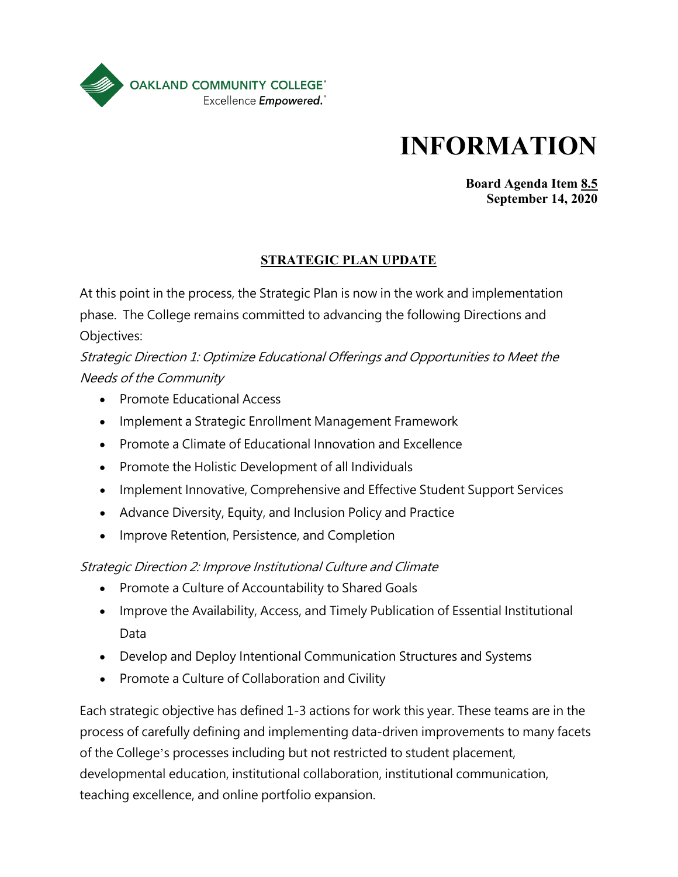

**Board Agenda Item 8.5 September 14, 2020**

# **STRATEGIC PLAN UPDATE**

At this point in the process, the Strategic Plan is now in the work and implementation phase. The College remains committed to advancing the following Directions and Objectives:

Strategic Direction 1: Optimize Educational Offerings and Opportunities to Meet the Needs of the Community

- Promote Educational Access
- Implement a Strategic Enrollment Management Framework
- Promote a Climate of Educational Innovation and Excellence
- Promote the Holistic Development of all Individuals
- Implement Innovative, Comprehensive and Effective Student Support Services
- Advance Diversity, Equity, and Inclusion Policy and Practice
- Improve Retention, Persistence, and Completion

# Strategic Direction 2: Improve Institutional Culture and Climate

- Promote a Culture of Accountability to Shared Goals
- Improve the Availability, Access, and Timely Publication of Essential Institutional Data
- Develop and Deploy Intentional Communication Structures and Systems
- Promote a Culture of Collaboration and Civility

Each strategic objective has defined 1-3 actions for work this year. These teams are in the process of carefully defining and implementing data-driven improvements to many facets of the College's processes including but not restricted to student placement, developmental education, institutional collaboration, institutional communication, teaching excellence, and online portfolio expansion.